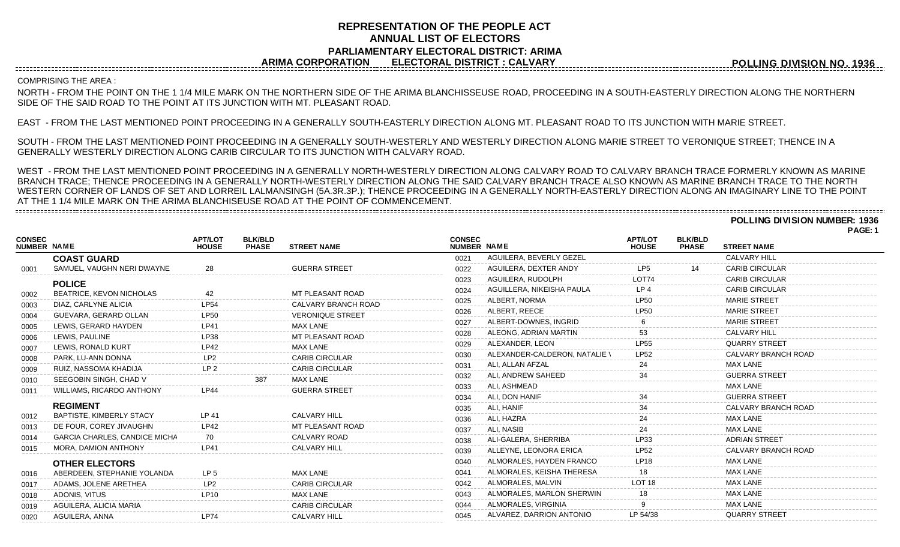# **REPRESENTATION OF THE PEOPLE ACT ANNUAL LIST OF ELECTORS PARLIAMENTARY ELECTORAL DISTRICT: ARIMA ARIMA CORPORATION ELECTORAL DISTRICT : CALVARY**

**POLLING DIVISION NO. 1936**

### COMPRISING THE AREA :

NORTH - FROM THE POINT ON THE 1 1/4 MILE MARK ON THE NORTHERN SIDE OF THE ARIMA BLANCHISSEUSE ROAD, PROCEEDING IN A SOUTH-EASTERLY DIRECTION ALONG THE NORTHERN SIDE OF THE SAID ROAD TO THE POINT AT ITS JUNCTION WITH MT. PLEASANT ROAD.

EAST - FROM THE LAST MENTIONED POINT PROCEEDING IN A GENERALLY SOUTH-EASTERLY DIRECTION ALONG MT. PLEASANT ROAD TO ITS JUNCTION WITH MARIE STREET.

SOUTH - FROM THE LAST MENTIONED POINT PROCEEDING IN A GENERALLY SOUTH-WESTERLY AND WESTERLY DIRECTION ALONG MARIE STREET TO VERONIQUE STREET; THENCE IN A GENERALLY WESTERLY DIRECTION ALONG CARIB CIRCULAR TO ITS JUNCTION WITH CALVARY ROAD.

WEST - FROM THE LAST MENTIONED POINT PROCEEDING IN A GENERALLY NORTH-WESTERLY DIRECTION ALONG CALVARY ROAD TO CALVARY BRANCH TRACE FORMERLY KNOWN AS MARINE BRANCH TRACE; THENCE PROCEEDING IN A GENERALLY NORTH-WESTERLY DIRECTION ALONG THE SAID CALVARY BRANCH TRACE ALSO KNOWN AS MARINE BRANCH TRACE TO THE NORTH WESTERN CORNER OF LANDS OF SET AND LORREIL LALMANSINGH (5A.3R.3P.); THENCE PROCEEDING IN A GENERALLY NORTH-EASTERLY DIRECTION ALONG AN IMAGINARY LINE TO THE POINT AT THE 1 1/4 MILE MARK ON THE ARIMA BLANCHISEUSE ROAD AT THE POINT OF COMMENCEMENT. 

**POLLING DIVISION NUMBER: 1936**

|                              |                                      |                                |                                |                         |                              |                               |                                |                                |                            | PAGE: 1 |
|------------------------------|--------------------------------------|--------------------------------|--------------------------------|-------------------------|------------------------------|-------------------------------|--------------------------------|--------------------------------|----------------------------|---------|
| <b>CONSEC</b><br>NUMBER NAME |                                      | <b>APT/LOT</b><br><b>HOUSE</b> | <b>BLK/BLD</b><br><b>PHASE</b> | <b>STREET NAME</b>      | <b>CONSEC</b><br>NUMBER NAME |                               | <b>APT/LOT</b><br><b>HOUSE</b> | <b>BLK/BLD</b><br><b>PHASE</b> | <b>STREET NAME</b>         |         |
|                              | <b>COAST GUARD</b>                   |                                |                                |                         | 0021                         | AGUILERA, BEVERLY GEZEL       |                                |                                | <b>CALVARY HILL</b>        |         |
| 0001                         | SAMUEL, VAUGHN NERI DWAYNE           | 28                             |                                | <b>GUERRA STREET</b>    | 0022                         | AGUILERA, DEXTER ANDY         | LP <sub>5</sub>                |                                | <b>CARIB CIRCULAR</b>      |         |
|                              | <b>POLICE</b>                        |                                |                                |                         | 0023                         | AGUILERA, RUDOLPH             | LOT74                          |                                | <b>CARIB CIRCULAR</b>      |         |
| 0002                         | <b>BEATRICE, KEVON NICHOLAS</b>      | 42                             |                                | MT PLEASANT ROAD        | 0024                         | AGUILLERA, NIKEISHA PAULA     | LP <sub>4</sub>                |                                | <b>CARIB CIRCULAR</b>      |         |
| 0003                         | DIAZ, CARLYNE ALICIA                 | <b>LP54</b>                    |                                | CALVARY BRANCH ROAD     | 0025                         | ALBERT, NORMA                 | <b>LP50</b>                    |                                | <b>MARIE STREET</b>        |         |
| 0004                         | GUEVARA, GERARD OLLAN                | <b>LP50</b>                    |                                | <b>VERONIQUE STREET</b> | 0026                         | ALBERT, REECE                 | <b>LP50</b>                    |                                | <b>MARIE STREET</b>        |         |
| 0005                         | LEWIS, GERARD HAYDEN                 | <b>LP41</b>                    |                                | <b>MAX LANE</b>         | 0027                         | ALBERT-DOWNES, INGRID         |                                |                                | <b>MARIE STREET</b>        |         |
| 0006                         | LEWIS, PAULINE                       | LP38                           |                                | MT PLEASANT ROAD        | 0028                         | ALEONG, ADRIAN MARTIN         | 53                             |                                | <b>CALVARY HILL</b>        |         |
| 0007                         | LEWIS, RONALD KURT                   | LP42                           |                                | <b>MAX LANE</b>         | 0029                         | ALEXANDER, LEON               | LP55                           |                                | <b>QUARRY STREET</b>       |         |
| 0008                         | PARK, LU-ANN DONNA                   | LP <sub>2</sub>                |                                | <b>CARIB CIRCULAR</b>   | 0030                         | ALEXANDER-CALDERON, NATALIE \ | <b>LP52</b>                    |                                | CALVARY BRANCH ROAD        |         |
| 0009                         | RUIZ, NASSOMA KHADIJA                | LP <sub>2</sub>                |                                | <b>CARIB CIRCULAR</b>   | 0031                         | ALI, ALLAN AFZAL              | 24                             |                                | MAX LANE                   |         |
| 0010                         | SEEGOBIN SINGH, CHAD V               |                                | 387                            | <b>MAX LANE</b>         | 0032                         | ALI, ANDREW SAHEED            | 34                             |                                | <b>GUERRA STREET</b>       |         |
| 0011                         | <b>WILLIAMS, RICARDO ANTHONY</b>     | PA                             |                                | <b>GUERRA STREET</b>    | 0033                         | ALI. ASHMEAD                  |                                |                                | <b>MAX LANE</b>            |         |
|                              |                                      |                                |                                |                         | 0034                         | ALI. DON HANIF                |                                |                                | <b>GUERRA STREET</b>       |         |
|                              | <b>REGIMENT</b>                      |                                |                                |                         | 0035                         | ALI. HANIF                    |                                |                                | <b>CALVARY BRANCH ROAD</b> |         |
| 0012                         | <b>BAPTISTE, KIMBERLY STACY</b>      | LP 41                          |                                | <b>CALVARY HILL</b>     | 0036                         | ALI, HAZRA                    |                                |                                | <b>MAX LANE</b>            |         |
| 0013                         | DE FOUR, COREY JIVAUGHN              | <b>LP42</b>                    |                                | MT PLEASANT ROAD        | 0037                         | ALI. NASIB                    |                                |                                | <b>MAX LANE</b>            |         |
| 0014                         | <b>GARCIA CHARLES, CANDICE MICHA</b> |                                |                                | CALVARY ROAD            | 0038                         | ALI-GALERA, SHERRIBA          | LP33                           |                                | <b>ADRIAN STREET</b>       |         |
| 0015                         | <b>MORA, DAMION ANTHONY</b>          | <b>LP41</b>                    |                                | <b>CALVARY HILL</b>     | 0039                         | ALLEYNE, LEONORA ERICA        | <b>LP52</b>                    |                                | CALVARY BRANCH ROAD        |         |
|                              | <b>OTHER ELECTORS</b>                |                                |                                |                         | 0040                         | ALMORALES, HAYDEN FRANCO      | <b>LP18</b>                    |                                | <b>MAX LANE</b>            |         |
| 0016                         | ABERDEEN, STEPHANIE YOLANDA          | LP <sub>5</sub>                |                                | <b>MAX LANE</b>         | 0041                         | ALMORALES, KEISHA THERESA     | 18                             |                                | <b>MAX LANE</b>            |         |
| 0017                         | ADAMS, JOLENE ARETHEA                | LP <sub>2</sub>                |                                | <b>CARIB CIRCULAR</b>   | 0042                         | ALMORALES, MALVIN             | LOT <sub>18</sub>              |                                | <b>MAX LANE</b>            |         |
| 0018                         | ADONIS, VITUS                        | <b>LP10</b>                    |                                | <b>MAX LANE</b>         | 0043                         | ALMORALES, MARLON SHERWIN     | 18                             |                                | <b>MAX LANE</b>            |         |
| 0019                         | AGUILERA, ALICIA MARIA               |                                |                                | <b>CARIB CIRCULAR</b>   | 0044                         | ALMORALES, VIRGINIA           |                                |                                | <b>MAX LANE</b>            |         |
| 0020                         | AGUILERA, ANNA                       | <b>LP74</b>                    |                                | <b>CALVARY HILL</b>     | 0045                         | ALVAREZ, DARRION ANTONIO      | LP 54/38                       |                                | <b>QUARRY STREET</b>       |         |
|                              |                                      |                                |                                |                         |                              |                               |                                |                                |                            |         |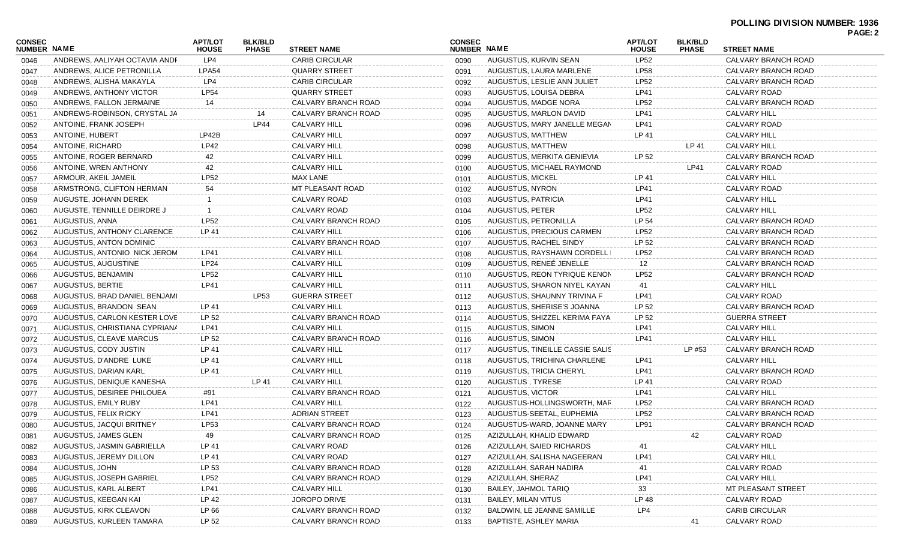| <b>CONSEC</b><br><b>NUMBER NAME</b><br>NUMBER NAME<br><b>STREET NAME</b><br><b>PHASE</b><br><b>STREET NAME</b><br><b>PHASE</b><br><b>HOUSE</b><br><b>HOUSE</b><br><b>LP52</b><br>LP4<br><b>CARIB CIRCULAR</b><br>CALVARY BRANCH ROAD<br>ANDREWS, AALIYAH OCTAVIA ANDF<br>AUGUSTUS, KURVIN SEAN<br>0046<br>0090<br><b>LPA54</b><br><b>LP58</b><br>ANDREWS, ALICE PETRONILLA<br><b>QUARRY STREET</b><br>AUGUSTUS, LAURA MARLENE<br>CALVARY BRANCH ROAD<br>0047<br>0091<br><b>LP52</b><br>ANDREWS, ALISHA MAKAYLA<br>LP4<br><b>CARIB CIRCULAR</b><br>AUGUSTUS, LESLIE ANN JULIET<br>CALVARY BRANCH ROAD<br>0092<br>0048<br><b>LP54</b><br><b>QUARRY STREET</b><br>LP41<br>ANDREWS, ANTHONY VICTOR<br>AUGUSTUS, LOUISA DEBRA<br>CALVARY ROAD<br>0093<br>0049<br><b>LP52</b><br>ANDREWS, FALLON JERMAINE<br>CALVARY BRANCH ROAD<br>AUGUSTUS, MADGE NORA<br>CALVARY BRANCH ROAD<br>14<br>0094<br>0050<br><b>LP41</b><br>ANDREWS-ROBINSON, CRYSTAL JA<br>CALVARY BRANCH ROAD<br>AUGUSTUS, MARLON DAVID<br><b>CALVARY HILL</b><br>14<br>0095<br>0051<br><b>LP41</b><br>ANTOINE, FRANK JOSEPH<br>LP44<br><b>CALVARY HILL</b><br>CALVARY ROAD<br>0096<br>AUGUSTUS, MARY JANELLE MEGAN<br>0052<br>LP42B<br><b>CALVARY HILL</b><br>ANTOINE, HUBERT<br>AUGUSTUS, MATTHEW<br>LP 41<br>CALVARY HILL<br>0097<br>0053<br>LP42<br>CALVARY HILL<br>ANTOINE, RICHARD<br>AUGUSTUS, MATTHEW<br>LP 41<br>CALVARY HILL<br>0098<br>0054<br>42<br>CALVARY HILL<br>ANTOINE, ROGER BERNARD<br>AUGUSTUS, MERKITA GENIEVIA<br>LP 52<br>CALVARY BRANCH ROAD<br>0099<br>0055<br>CALVARY HILL<br>42<br>ANTOINE, WREN ANTHONY<br>AUGUSTUS, MICHAEL RAYMOND<br>LP41<br>CALVARY ROAD<br>0100<br>0056<br><b>LP52</b><br><b>MAX LANE</b><br>LP 41<br><b>CALVARY HILL</b><br>ARMOUR, AKEIL JAMEIL<br><b>AUGUSTUS, MICKEL</b><br>0101<br>0057<br>MT PLEASANT ROAD<br>LP41<br>54<br>AUGUSTUS, NYRON<br>CALVARY ROAD<br>ARMSTRONG, CLIFTON HERMAN<br>0102<br>0058<br>CALVARY ROAD<br>LP41<br><b>CALVARY HILL</b><br>AUGUSTUS, PATRICIA<br>AUGUSTE, JOHANN DEREK<br>0103<br>0059<br><b>LP52</b><br>CALVARY ROAD<br><b>CALVARY HILL</b><br>AUGUSTE, TENNILLE DEIRDRE J<br>AUGUSTUS, PETER<br>0104<br>0060<br><b>LP52</b><br>LP 54<br>AUGUSTUS, ANNA<br>CALVARY BRANCH ROAD<br>AUGUSTUS, PETRONILLA<br>CALVARY BRANCH ROAD<br>0105<br>0061<br>LP 41<br><b>CALVARY HILL</b><br><b>LP52</b><br>AUGUSTUS, ANTHONY CLARENCE<br>AUGUSTUS, PRECIOUS CARMEN<br>CALVARY BRANCH ROAD<br>0106<br>0062<br>LP 52<br>AUGUSTUS, ANTON DOMINIC<br>CALVARY BRANCH ROAD<br>AUGUSTUS, RACHEL SINDY<br>CALVARY BRANCH ROAD<br>0107<br>0063<br>CALVARY HILL<br><b>LP52</b><br>AUGUSTUS, ANTONIO NICK JEROM<br>LP41<br>AUGUSTUS, RAYSHAWN CORDELL I<br>CALVARY BRANCH ROAD<br>0108<br>0064<br><b>LP24</b><br>CALVARY HILL<br>AUGUSTUS, RENEE JENELLE<br>AUGUSTUS, AUGUSTINE<br>12<br>CALVARY BRANCH ROAD<br>0109<br>0065<br><b>LP52</b><br>CALVARY HILL<br>LP52<br>AUGUSTUS, BENJAMIN<br>AUGUSTUS, REON TYRIQUE KENON<br>CALVARY BRANCH ROAD<br>0110<br>0066<br><b>CALVARY HILL</b><br>AUGUSTUS, BERTIE<br>LP41<br>AUGUSTUS, SHARON NIYEL KAYAN<br>41<br>CALVARY HILL<br>0111<br>0067<br>AUGUSTUS, BRAD DANIEL BENJAMI<br>LP53<br><b>GUERRA STREET</b><br>AUGUSTUS, SHAUNNY TRIVINA F<br>LP41<br>CALVARY ROAD<br>0112<br>0068<br><b>CALVARY HILL</b><br>LP 52<br>AUGUSTUS, BRANDON SEAN<br>LP 41<br>AUGUSTUS, SHERISE'S JOANNA<br>CALVARY BRANCH ROAD<br>0113<br>0069<br>LP 52<br>CALVARY BRANCH ROAD<br>LP 52<br><b>GUERRA STREET</b><br>AUGUSTUS, CARLON KESTER LOVE<br>AUGUSTUS, SHIZZEL KERIMA FAYA<br>0114<br>0070<br>LP41<br><b>CALVARY HILL</b><br><b>LP41</b><br><b>CALVARY HILL</b><br>AUGUSTUS, CHRISTIANA CYPRIANA<br>AUGUSTUS, SIMON<br>0115<br>0071<br>LP 52<br>AUGUSTUS, CLEAVE MARCUS<br>CALVARY BRANCH ROAD<br>AUGUSTUS, SIMON<br>LP41<br><b>CALVARY HILL</b><br>0116<br>0072<br>LP 41<br><b>CALVARY HILL</b><br>AUGUSTUS, CODY JUSTIN<br>AUGUSTUS, TINEILLE CASSIE SALIS<br>CALVARY BRANCH ROAD<br>0117<br>LP #53<br>0073<br>LP 41<br><b>CALVARY HILL</b><br>AUGUSTUS, D'ANDRE LUKE<br>AUGUSTUS, TRICHINA CHARLENE<br>LP41<br>CALVARY HILL<br>0118<br>0074<br>LP 41<br><b>CALVARY HILL</b><br>AUGUSTUS, DARIAN KARL<br>AUGUSTUS, TRICIA CHERYL<br>LP41<br>CALVARY BRANCH ROAD<br>0119<br>0075<br><b>CALVARY HILL</b><br>LP 41<br>AUGUSTUS, DENIQUE KANESHA<br>LP 41<br>AUGUSTUS, TYRESE<br>CALVARY ROAD<br>0120<br>0076<br>AUGUSTUS, DESIREE PHILOUEA<br>CALVARY BRANCH ROAD<br>AUGUSTUS, VICTOR<br>LP41<br>CALVARY HILL<br>#91<br>0121<br>0077<br>LP41<br><b>CALVARY HILL</b><br><b>LP52</b><br>AUGUSTUS, EMILY RUBY<br>AUGUSTUS-HOLLINGSWORTH, MAR<br>CALVARY BRANCH ROAD<br>0122<br>0078<br><b>LP41</b><br><b>ADRIAN STREET</b><br><b>LP52</b><br>AUGUSTUS, FELIX RICKY<br>AUGUSTUS-SEETAL, EUPHEMIA<br>CALVARY BRANCH ROAD<br>0123<br>0079<br><b>LP53</b><br>AUGUSTUS, JACQUI BRITNEY<br>CALVARY BRANCH ROAD<br>AUGUSTUS-WARD, JOANNE MARY<br>LP91<br>CALVARY BRANCH ROAD<br>0080<br>0124<br>CALVARY BRANCH ROAD<br>0081<br>AUGUSTUS, JAMES GLEN<br>49<br>0125<br>AZIZULLAH, KHALID EDWARD<br>42<br>CALVARY ROAD<br>CALVARY ROAD<br><b>CALVARY HILL</b><br>AUGUSTUS, JASMIN GABRIELLA<br>LP 41<br>AZIZULLAH, SAIED RICHARDS<br>41<br>0082<br>0126<br>CALVARY ROAD<br><b>CALVARY HILL</b><br>AUGUSTUS, JEREMY DILLON<br>LP 41<br>AZIZULLAH, SALISHA NAGEERAN<br>LP41<br>0127<br>0083<br>LP 53<br><b>CALVARY ROAD</b><br>AUGUSTUS, JOHN<br>CALVARY BRANCH ROAD<br>AZIZULLAH, SARAH NADIRA<br>41<br>0084<br>0128<br><b>LP52</b><br>AZIZULLAH, SHERAZ<br><b>LP41</b><br><b>CALVARY HILL</b><br>AUGUSTUS, JOSEPH GABRIEL<br>CALVARY BRANCH ROAD<br>0085<br>0129<br>CALVARY HILL<br>33<br>AUGUSTUS, KARL ALBERT<br>LP41<br>BAILEY, JAHMOL TARIQ<br>MT PLEASANT STREET<br>0086<br>0130<br>LP 48<br>AUGUSTUS, KEEGAN KAI<br>LP 42<br>JOROPO DRIVE<br><b>BAILEY, MILAN VITUS</b><br>CALVARY ROAD<br>0087<br>0131<br>AUGUSTUS, KIRK CLEAVON<br>LP 66<br>CALVARY BRANCH ROAD<br>BALDWIN, LE JEANNE SAMILLE<br>LP4<br><b>CARIB CIRCULAR</b><br>0132<br>0088<br>AUGUSTUS, KURLEEN TAMARA<br>LP 52<br>CALVARY ROAD<br>CALVARY BRANCH ROAD<br>BAPTISTE, ASHLEY MARIA<br>0133<br>41<br>0089 |        |                |                |  |                |                | PAGE: 2 |
|--------------------------------------------------------------------------------------------------------------------------------------------------------------------------------------------------------------------------------------------------------------------------------------------------------------------------------------------------------------------------------------------------------------------------------------------------------------------------------------------------------------------------------------------------------------------------------------------------------------------------------------------------------------------------------------------------------------------------------------------------------------------------------------------------------------------------------------------------------------------------------------------------------------------------------------------------------------------------------------------------------------------------------------------------------------------------------------------------------------------------------------------------------------------------------------------------------------------------------------------------------------------------------------------------------------------------------------------------------------------------------------------------------------------------------------------------------------------------------------------------------------------------------------------------------------------------------------------------------------------------------------------------------------------------------------------------------------------------------------------------------------------------------------------------------------------------------------------------------------------------------------------------------------------------------------------------------------------------------------------------------------------------------------------------------------------------------------------------------------------------------------------------------------------------------------------------------------------------------------------------------------------------------------------------------------------------------------------------------------------------------------------------------------------------------------------------------------------------------------------------------------------------------------------------------------------------------------------------------------------------------------------------------------------------------------------------------------------------------------------------------------------------------------------------------------------------------------------------------------------------------------------------------------------------------------------------------------------------------------------------------------------------------------------------------------------------------------------------------------------------------------------------------------------------------------------------------------------------------------------------------------------------------------------------------------------------------------------------------------------------------------------------------------------------------------------------------------------------------------------------------------------------------------------------------------------------------------------------------------------------------------------------------------------------------------------------------------------------------------------------------------------------------------------------------------------------------------------------------------------------------------------------------------------------------------------------------------------------------------------------------------------------------------------------------------------------------------------------------------------------------------------------------------------------------------------------------------------------------------------------------------------------------------------------------------------------------------------------------------------------------------------------------------------------------------------------------------------------------------------------------------------------------------------------------------------------------------------------------------------------------------------------------------------------------------------------------------------------------------------------------------------------------------------------------------------------------------------------------------------------------------------------------------------------------------------------------------------------------------------------------------------------------------------------------------------------------------------------------------------------------------------------------------------------------------------------------------------------------------------------------------------------------------------------------------------------------------------------------------------------------------------------------------------------------------------------------------------------------------------------------------------------------------------------------------------------------------------------------------------------------------------------------------------------------------------------------------------------------------------------------------------------------------------------------------------------------------------------------------------------------------------------------------------------------------------------------------------------------------------------------------------------------------------------------------------------------------------------------------------------------|--------|----------------|----------------|--|----------------|----------------|---------|
|                                                                                                                                                                                                                                                                                                                                                                                                                                                                                                                                                                                                                                                                                                                                                                                                                                                                                                                                                                                                                                                                                                                                                                                                                                                                                                                                                                                                                                                                                                                                                                                                                                                                                                                                                                                                                                                                                                                                                                                                                                                                                                                                                                                                                                                                                                                                                                                                                                                                                                                                                                                                                                                                                                                                                                                                                                                                                                                                                                                                                                                                                                                                                                                                                                                                                                                                                                                                                                                                                                                                                                                                                                                                                                                                                                                                                                                                                                                                                                                                                                                                                                                                                                                                                                                                                                                                                                                                                                                                                                                                                                                                                                                                                                                                                                                                                                                                                                                                                                                                                                                                                                                                                                                                                                                                                                                                                                                                                                                                                                                                                                                                                                                                                                                                                                                                                                                                                                                                                                                                                                                                                                                                | CONSEC | <b>APT/LOT</b> | <b>BLK/BLD</b> |  | <b>APT/LOT</b> | <b>BLK/BLD</b> |         |
|                                                                                                                                                                                                                                                                                                                                                                                                                                                                                                                                                                                                                                                                                                                                                                                                                                                                                                                                                                                                                                                                                                                                                                                                                                                                                                                                                                                                                                                                                                                                                                                                                                                                                                                                                                                                                                                                                                                                                                                                                                                                                                                                                                                                                                                                                                                                                                                                                                                                                                                                                                                                                                                                                                                                                                                                                                                                                                                                                                                                                                                                                                                                                                                                                                                                                                                                                                                                                                                                                                                                                                                                                                                                                                                                                                                                                                                                                                                                                                                                                                                                                                                                                                                                                                                                                                                                                                                                                                                                                                                                                                                                                                                                                                                                                                                                                                                                                                                                                                                                                                                                                                                                                                                                                                                                                                                                                                                                                                                                                                                                                                                                                                                                                                                                                                                                                                                                                                                                                                                                                                                                                                                                |        |                |                |  |                |                |         |
|                                                                                                                                                                                                                                                                                                                                                                                                                                                                                                                                                                                                                                                                                                                                                                                                                                                                                                                                                                                                                                                                                                                                                                                                                                                                                                                                                                                                                                                                                                                                                                                                                                                                                                                                                                                                                                                                                                                                                                                                                                                                                                                                                                                                                                                                                                                                                                                                                                                                                                                                                                                                                                                                                                                                                                                                                                                                                                                                                                                                                                                                                                                                                                                                                                                                                                                                                                                                                                                                                                                                                                                                                                                                                                                                                                                                                                                                                                                                                                                                                                                                                                                                                                                                                                                                                                                                                                                                                                                                                                                                                                                                                                                                                                                                                                                                                                                                                                                                                                                                                                                                                                                                                                                                                                                                                                                                                                                                                                                                                                                                                                                                                                                                                                                                                                                                                                                                                                                                                                                                                                                                                                                                |        |                |                |  |                |                |         |
|                                                                                                                                                                                                                                                                                                                                                                                                                                                                                                                                                                                                                                                                                                                                                                                                                                                                                                                                                                                                                                                                                                                                                                                                                                                                                                                                                                                                                                                                                                                                                                                                                                                                                                                                                                                                                                                                                                                                                                                                                                                                                                                                                                                                                                                                                                                                                                                                                                                                                                                                                                                                                                                                                                                                                                                                                                                                                                                                                                                                                                                                                                                                                                                                                                                                                                                                                                                                                                                                                                                                                                                                                                                                                                                                                                                                                                                                                                                                                                                                                                                                                                                                                                                                                                                                                                                                                                                                                                                                                                                                                                                                                                                                                                                                                                                                                                                                                                                                                                                                                                                                                                                                                                                                                                                                                                                                                                                                                                                                                                                                                                                                                                                                                                                                                                                                                                                                                                                                                                                                                                                                                                                                |        |                |                |  |                |                |         |
|                                                                                                                                                                                                                                                                                                                                                                                                                                                                                                                                                                                                                                                                                                                                                                                                                                                                                                                                                                                                                                                                                                                                                                                                                                                                                                                                                                                                                                                                                                                                                                                                                                                                                                                                                                                                                                                                                                                                                                                                                                                                                                                                                                                                                                                                                                                                                                                                                                                                                                                                                                                                                                                                                                                                                                                                                                                                                                                                                                                                                                                                                                                                                                                                                                                                                                                                                                                                                                                                                                                                                                                                                                                                                                                                                                                                                                                                                                                                                                                                                                                                                                                                                                                                                                                                                                                                                                                                                                                                                                                                                                                                                                                                                                                                                                                                                                                                                                                                                                                                                                                                                                                                                                                                                                                                                                                                                                                                                                                                                                                                                                                                                                                                                                                                                                                                                                                                                                                                                                                                                                                                                                                                |        |                |                |  |                |                |         |
|                                                                                                                                                                                                                                                                                                                                                                                                                                                                                                                                                                                                                                                                                                                                                                                                                                                                                                                                                                                                                                                                                                                                                                                                                                                                                                                                                                                                                                                                                                                                                                                                                                                                                                                                                                                                                                                                                                                                                                                                                                                                                                                                                                                                                                                                                                                                                                                                                                                                                                                                                                                                                                                                                                                                                                                                                                                                                                                                                                                                                                                                                                                                                                                                                                                                                                                                                                                                                                                                                                                                                                                                                                                                                                                                                                                                                                                                                                                                                                                                                                                                                                                                                                                                                                                                                                                                                                                                                                                                                                                                                                                                                                                                                                                                                                                                                                                                                                                                                                                                                                                                                                                                                                                                                                                                                                                                                                                                                                                                                                                                                                                                                                                                                                                                                                                                                                                                                                                                                                                                                                                                                                                                |        |                |                |  |                |                |         |
|                                                                                                                                                                                                                                                                                                                                                                                                                                                                                                                                                                                                                                                                                                                                                                                                                                                                                                                                                                                                                                                                                                                                                                                                                                                                                                                                                                                                                                                                                                                                                                                                                                                                                                                                                                                                                                                                                                                                                                                                                                                                                                                                                                                                                                                                                                                                                                                                                                                                                                                                                                                                                                                                                                                                                                                                                                                                                                                                                                                                                                                                                                                                                                                                                                                                                                                                                                                                                                                                                                                                                                                                                                                                                                                                                                                                                                                                                                                                                                                                                                                                                                                                                                                                                                                                                                                                                                                                                                                                                                                                                                                                                                                                                                                                                                                                                                                                                                                                                                                                                                                                                                                                                                                                                                                                                                                                                                                                                                                                                                                                                                                                                                                                                                                                                                                                                                                                                                                                                                                                                                                                                                                                |        |                |                |  |                |                |         |
|                                                                                                                                                                                                                                                                                                                                                                                                                                                                                                                                                                                                                                                                                                                                                                                                                                                                                                                                                                                                                                                                                                                                                                                                                                                                                                                                                                                                                                                                                                                                                                                                                                                                                                                                                                                                                                                                                                                                                                                                                                                                                                                                                                                                                                                                                                                                                                                                                                                                                                                                                                                                                                                                                                                                                                                                                                                                                                                                                                                                                                                                                                                                                                                                                                                                                                                                                                                                                                                                                                                                                                                                                                                                                                                                                                                                                                                                                                                                                                                                                                                                                                                                                                                                                                                                                                                                                                                                                                                                                                                                                                                                                                                                                                                                                                                                                                                                                                                                                                                                                                                                                                                                                                                                                                                                                                                                                                                                                                                                                                                                                                                                                                                                                                                                                                                                                                                                                                                                                                                                                                                                                                                                |        |                |                |  |                |                |         |
|                                                                                                                                                                                                                                                                                                                                                                                                                                                                                                                                                                                                                                                                                                                                                                                                                                                                                                                                                                                                                                                                                                                                                                                                                                                                                                                                                                                                                                                                                                                                                                                                                                                                                                                                                                                                                                                                                                                                                                                                                                                                                                                                                                                                                                                                                                                                                                                                                                                                                                                                                                                                                                                                                                                                                                                                                                                                                                                                                                                                                                                                                                                                                                                                                                                                                                                                                                                                                                                                                                                                                                                                                                                                                                                                                                                                                                                                                                                                                                                                                                                                                                                                                                                                                                                                                                                                                                                                                                                                                                                                                                                                                                                                                                                                                                                                                                                                                                                                                                                                                                                                                                                                                                                                                                                                                                                                                                                                                                                                                                                                                                                                                                                                                                                                                                                                                                                                                                                                                                                                                                                                                                                                |        |                |                |  |                |                |         |
|                                                                                                                                                                                                                                                                                                                                                                                                                                                                                                                                                                                                                                                                                                                                                                                                                                                                                                                                                                                                                                                                                                                                                                                                                                                                                                                                                                                                                                                                                                                                                                                                                                                                                                                                                                                                                                                                                                                                                                                                                                                                                                                                                                                                                                                                                                                                                                                                                                                                                                                                                                                                                                                                                                                                                                                                                                                                                                                                                                                                                                                                                                                                                                                                                                                                                                                                                                                                                                                                                                                                                                                                                                                                                                                                                                                                                                                                                                                                                                                                                                                                                                                                                                                                                                                                                                                                                                                                                                                                                                                                                                                                                                                                                                                                                                                                                                                                                                                                                                                                                                                                                                                                                                                                                                                                                                                                                                                                                                                                                                                                                                                                                                                                                                                                                                                                                                                                                                                                                                                                                                                                                                                                |        |                |                |  |                |                |         |
|                                                                                                                                                                                                                                                                                                                                                                                                                                                                                                                                                                                                                                                                                                                                                                                                                                                                                                                                                                                                                                                                                                                                                                                                                                                                                                                                                                                                                                                                                                                                                                                                                                                                                                                                                                                                                                                                                                                                                                                                                                                                                                                                                                                                                                                                                                                                                                                                                                                                                                                                                                                                                                                                                                                                                                                                                                                                                                                                                                                                                                                                                                                                                                                                                                                                                                                                                                                                                                                                                                                                                                                                                                                                                                                                                                                                                                                                                                                                                                                                                                                                                                                                                                                                                                                                                                                                                                                                                                                                                                                                                                                                                                                                                                                                                                                                                                                                                                                                                                                                                                                                                                                                                                                                                                                                                                                                                                                                                                                                                                                                                                                                                                                                                                                                                                                                                                                                                                                                                                                                                                                                                                                                |        |                |                |  |                |                |         |
|                                                                                                                                                                                                                                                                                                                                                                                                                                                                                                                                                                                                                                                                                                                                                                                                                                                                                                                                                                                                                                                                                                                                                                                                                                                                                                                                                                                                                                                                                                                                                                                                                                                                                                                                                                                                                                                                                                                                                                                                                                                                                                                                                                                                                                                                                                                                                                                                                                                                                                                                                                                                                                                                                                                                                                                                                                                                                                                                                                                                                                                                                                                                                                                                                                                                                                                                                                                                                                                                                                                                                                                                                                                                                                                                                                                                                                                                                                                                                                                                                                                                                                                                                                                                                                                                                                                                                                                                                                                                                                                                                                                                                                                                                                                                                                                                                                                                                                                                                                                                                                                                                                                                                                                                                                                                                                                                                                                                                                                                                                                                                                                                                                                                                                                                                                                                                                                                                                                                                                                                                                                                                                                                |        |                |                |  |                |                |         |
|                                                                                                                                                                                                                                                                                                                                                                                                                                                                                                                                                                                                                                                                                                                                                                                                                                                                                                                                                                                                                                                                                                                                                                                                                                                                                                                                                                                                                                                                                                                                                                                                                                                                                                                                                                                                                                                                                                                                                                                                                                                                                                                                                                                                                                                                                                                                                                                                                                                                                                                                                                                                                                                                                                                                                                                                                                                                                                                                                                                                                                                                                                                                                                                                                                                                                                                                                                                                                                                                                                                                                                                                                                                                                                                                                                                                                                                                                                                                                                                                                                                                                                                                                                                                                                                                                                                                                                                                                                                                                                                                                                                                                                                                                                                                                                                                                                                                                                                                                                                                                                                                                                                                                                                                                                                                                                                                                                                                                                                                                                                                                                                                                                                                                                                                                                                                                                                                                                                                                                                                                                                                                                                                |        |                |                |  |                |                |         |
|                                                                                                                                                                                                                                                                                                                                                                                                                                                                                                                                                                                                                                                                                                                                                                                                                                                                                                                                                                                                                                                                                                                                                                                                                                                                                                                                                                                                                                                                                                                                                                                                                                                                                                                                                                                                                                                                                                                                                                                                                                                                                                                                                                                                                                                                                                                                                                                                                                                                                                                                                                                                                                                                                                                                                                                                                                                                                                                                                                                                                                                                                                                                                                                                                                                                                                                                                                                                                                                                                                                                                                                                                                                                                                                                                                                                                                                                                                                                                                                                                                                                                                                                                                                                                                                                                                                                                                                                                                                                                                                                                                                                                                                                                                                                                                                                                                                                                                                                                                                                                                                                                                                                                                                                                                                                                                                                                                                                                                                                                                                                                                                                                                                                                                                                                                                                                                                                                                                                                                                                                                                                                                                                |        |                |                |  |                |                |         |
|                                                                                                                                                                                                                                                                                                                                                                                                                                                                                                                                                                                                                                                                                                                                                                                                                                                                                                                                                                                                                                                                                                                                                                                                                                                                                                                                                                                                                                                                                                                                                                                                                                                                                                                                                                                                                                                                                                                                                                                                                                                                                                                                                                                                                                                                                                                                                                                                                                                                                                                                                                                                                                                                                                                                                                                                                                                                                                                                                                                                                                                                                                                                                                                                                                                                                                                                                                                                                                                                                                                                                                                                                                                                                                                                                                                                                                                                                                                                                                                                                                                                                                                                                                                                                                                                                                                                                                                                                                                                                                                                                                                                                                                                                                                                                                                                                                                                                                                                                                                                                                                                                                                                                                                                                                                                                                                                                                                                                                                                                                                                                                                                                                                                                                                                                                                                                                                                                                                                                                                                                                                                                                                                |        |                |                |  |                |                |         |
|                                                                                                                                                                                                                                                                                                                                                                                                                                                                                                                                                                                                                                                                                                                                                                                                                                                                                                                                                                                                                                                                                                                                                                                                                                                                                                                                                                                                                                                                                                                                                                                                                                                                                                                                                                                                                                                                                                                                                                                                                                                                                                                                                                                                                                                                                                                                                                                                                                                                                                                                                                                                                                                                                                                                                                                                                                                                                                                                                                                                                                                                                                                                                                                                                                                                                                                                                                                                                                                                                                                                                                                                                                                                                                                                                                                                                                                                                                                                                                                                                                                                                                                                                                                                                                                                                                                                                                                                                                                                                                                                                                                                                                                                                                                                                                                                                                                                                                                                                                                                                                                                                                                                                                                                                                                                                                                                                                                                                                                                                                                                                                                                                                                                                                                                                                                                                                                                                                                                                                                                                                                                                                                                |        |                |                |  |                |                |         |
|                                                                                                                                                                                                                                                                                                                                                                                                                                                                                                                                                                                                                                                                                                                                                                                                                                                                                                                                                                                                                                                                                                                                                                                                                                                                                                                                                                                                                                                                                                                                                                                                                                                                                                                                                                                                                                                                                                                                                                                                                                                                                                                                                                                                                                                                                                                                                                                                                                                                                                                                                                                                                                                                                                                                                                                                                                                                                                                                                                                                                                                                                                                                                                                                                                                                                                                                                                                                                                                                                                                                                                                                                                                                                                                                                                                                                                                                                                                                                                                                                                                                                                                                                                                                                                                                                                                                                                                                                                                                                                                                                                                                                                                                                                                                                                                                                                                                                                                                                                                                                                                                                                                                                                                                                                                                                                                                                                                                                                                                                                                                                                                                                                                                                                                                                                                                                                                                                                                                                                                                                                                                                                                                |        |                |                |  |                |                |         |
|                                                                                                                                                                                                                                                                                                                                                                                                                                                                                                                                                                                                                                                                                                                                                                                                                                                                                                                                                                                                                                                                                                                                                                                                                                                                                                                                                                                                                                                                                                                                                                                                                                                                                                                                                                                                                                                                                                                                                                                                                                                                                                                                                                                                                                                                                                                                                                                                                                                                                                                                                                                                                                                                                                                                                                                                                                                                                                                                                                                                                                                                                                                                                                                                                                                                                                                                                                                                                                                                                                                                                                                                                                                                                                                                                                                                                                                                                                                                                                                                                                                                                                                                                                                                                                                                                                                                                                                                                                                                                                                                                                                                                                                                                                                                                                                                                                                                                                                                                                                                                                                                                                                                                                                                                                                                                                                                                                                                                                                                                                                                                                                                                                                                                                                                                                                                                                                                                                                                                                                                                                                                                                                                |        |                |                |  |                |                |         |
|                                                                                                                                                                                                                                                                                                                                                                                                                                                                                                                                                                                                                                                                                                                                                                                                                                                                                                                                                                                                                                                                                                                                                                                                                                                                                                                                                                                                                                                                                                                                                                                                                                                                                                                                                                                                                                                                                                                                                                                                                                                                                                                                                                                                                                                                                                                                                                                                                                                                                                                                                                                                                                                                                                                                                                                                                                                                                                                                                                                                                                                                                                                                                                                                                                                                                                                                                                                                                                                                                                                                                                                                                                                                                                                                                                                                                                                                                                                                                                                                                                                                                                                                                                                                                                                                                                                                                                                                                                                                                                                                                                                                                                                                                                                                                                                                                                                                                                                                                                                                                                                                                                                                                                                                                                                                                                                                                                                                                                                                                                                                                                                                                                                                                                                                                                                                                                                                                                                                                                                                                                                                                                                                |        |                |                |  |                |                |         |
|                                                                                                                                                                                                                                                                                                                                                                                                                                                                                                                                                                                                                                                                                                                                                                                                                                                                                                                                                                                                                                                                                                                                                                                                                                                                                                                                                                                                                                                                                                                                                                                                                                                                                                                                                                                                                                                                                                                                                                                                                                                                                                                                                                                                                                                                                                                                                                                                                                                                                                                                                                                                                                                                                                                                                                                                                                                                                                                                                                                                                                                                                                                                                                                                                                                                                                                                                                                                                                                                                                                                                                                                                                                                                                                                                                                                                                                                                                                                                                                                                                                                                                                                                                                                                                                                                                                                                                                                                                                                                                                                                                                                                                                                                                                                                                                                                                                                                                                                                                                                                                                                                                                                                                                                                                                                                                                                                                                                                                                                                                                                                                                                                                                                                                                                                                                                                                                                                                                                                                                                                                                                                                                                |        |                |                |  |                |                |         |
|                                                                                                                                                                                                                                                                                                                                                                                                                                                                                                                                                                                                                                                                                                                                                                                                                                                                                                                                                                                                                                                                                                                                                                                                                                                                                                                                                                                                                                                                                                                                                                                                                                                                                                                                                                                                                                                                                                                                                                                                                                                                                                                                                                                                                                                                                                                                                                                                                                                                                                                                                                                                                                                                                                                                                                                                                                                                                                                                                                                                                                                                                                                                                                                                                                                                                                                                                                                                                                                                                                                                                                                                                                                                                                                                                                                                                                                                                                                                                                                                                                                                                                                                                                                                                                                                                                                                                                                                                                                                                                                                                                                                                                                                                                                                                                                                                                                                                                                                                                                                                                                                                                                                                                                                                                                                                                                                                                                                                                                                                                                                                                                                                                                                                                                                                                                                                                                                                                                                                                                                                                                                                                                                |        |                |                |  |                |                |         |
|                                                                                                                                                                                                                                                                                                                                                                                                                                                                                                                                                                                                                                                                                                                                                                                                                                                                                                                                                                                                                                                                                                                                                                                                                                                                                                                                                                                                                                                                                                                                                                                                                                                                                                                                                                                                                                                                                                                                                                                                                                                                                                                                                                                                                                                                                                                                                                                                                                                                                                                                                                                                                                                                                                                                                                                                                                                                                                                                                                                                                                                                                                                                                                                                                                                                                                                                                                                                                                                                                                                                                                                                                                                                                                                                                                                                                                                                                                                                                                                                                                                                                                                                                                                                                                                                                                                                                                                                                                                                                                                                                                                                                                                                                                                                                                                                                                                                                                                                                                                                                                                                                                                                                                                                                                                                                                                                                                                                                                                                                                                                                                                                                                                                                                                                                                                                                                                                                                                                                                                                                                                                                                                                |        |                |                |  |                |                |         |
|                                                                                                                                                                                                                                                                                                                                                                                                                                                                                                                                                                                                                                                                                                                                                                                                                                                                                                                                                                                                                                                                                                                                                                                                                                                                                                                                                                                                                                                                                                                                                                                                                                                                                                                                                                                                                                                                                                                                                                                                                                                                                                                                                                                                                                                                                                                                                                                                                                                                                                                                                                                                                                                                                                                                                                                                                                                                                                                                                                                                                                                                                                                                                                                                                                                                                                                                                                                                                                                                                                                                                                                                                                                                                                                                                                                                                                                                                                                                                                                                                                                                                                                                                                                                                                                                                                                                                                                                                                                                                                                                                                                                                                                                                                                                                                                                                                                                                                                                                                                                                                                                                                                                                                                                                                                                                                                                                                                                                                                                                                                                                                                                                                                                                                                                                                                                                                                                                                                                                                                                                                                                                                                                |        |                |                |  |                |                |         |
|                                                                                                                                                                                                                                                                                                                                                                                                                                                                                                                                                                                                                                                                                                                                                                                                                                                                                                                                                                                                                                                                                                                                                                                                                                                                                                                                                                                                                                                                                                                                                                                                                                                                                                                                                                                                                                                                                                                                                                                                                                                                                                                                                                                                                                                                                                                                                                                                                                                                                                                                                                                                                                                                                                                                                                                                                                                                                                                                                                                                                                                                                                                                                                                                                                                                                                                                                                                                                                                                                                                                                                                                                                                                                                                                                                                                                                                                                                                                                                                                                                                                                                                                                                                                                                                                                                                                                                                                                                                                                                                                                                                                                                                                                                                                                                                                                                                                                                                                                                                                                                                                                                                                                                                                                                                                                                                                                                                                                                                                                                                                                                                                                                                                                                                                                                                                                                                                                                                                                                                                                                                                                                                                |        |                |                |  |                |                |         |
|                                                                                                                                                                                                                                                                                                                                                                                                                                                                                                                                                                                                                                                                                                                                                                                                                                                                                                                                                                                                                                                                                                                                                                                                                                                                                                                                                                                                                                                                                                                                                                                                                                                                                                                                                                                                                                                                                                                                                                                                                                                                                                                                                                                                                                                                                                                                                                                                                                                                                                                                                                                                                                                                                                                                                                                                                                                                                                                                                                                                                                                                                                                                                                                                                                                                                                                                                                                                                                                                                                                                                                                                                                                                                                                                                                                                                                                                                                                                                                                                                                                                                                                                                                                                                                                                                                                                                                                                                                                                                                                                                                                                                                                                                                                                                                                                                                                                                                                                                                                                                                                                                                                                                                                                                                                                                                                                                                                                                                                                                                                                                                                                                                                                                                                                                                                                                                                                                                                                                                                                                                                                                                                                |        |                |                |  |                |                |         |
|                                                                                                                                                                                                                                                                                                                                                                                                                                                                                                                                                                                                                                                                                                                                                                                                                                                                                                                                                                                                                                                                                                                                                                                                                                                                                                                                                                                                                                                                                                                                                                                                                                                                                                                                                                                                                                                                                                                                                                                                                                                                                                                                                                                                                                                                                                                                                                                                                                                                                                                                                                                                                                                                                                                                                                                                                                                                                                                                                                                                                                                                                                                                                                                                                                                                                                                                                                                                                                                                                                                                                                                                                                                                                                                                                                                                                                                                                                                                                                                                                                                                                                                                                                                                                                                                                                                                                                                                                                                                                                                                                                                                                                                                                                                                                                                                                                                                                                                                                                                                                                                                                                                                                                                                                                                                                                                                                                                                                                                                                                                                                                                                                                                                                                                                                                                                                                                                                                                                                                                                                                                                                                                                |        |                |                |  |                |                |         |
|                                                                                                                                                                                                                                                                                                                                                                                                                                                                                                                                                                                                                                                                                                                                                                                                                                                                                                                                                                                                                                                                                                                                                                                                                                                                                                                                                                                                                                                                                                                                                                                                                                                                                                                                                                                                                                                                                                                                                                                                                                                                                                                                                                                                                                                                                                                                                                                                                                                                                                                                                                                                                                                                                                                                                                                                                                                                                                                                                                                                                                                                                                                                                                                                                                                                                                                                                                                                                                                                                                                                                                                                                                                                                                                                                                                                                                                                                                                                                                                                                                                                                                                                                                                                                                                                                                                                                                                                                                                                                                                                                                                                                                                                                                                                                                                                                                                                                                                                                                                                                                                                                                                                                                                                                                                                                                                                                                                                                                                                                                                                                                                                                                                                                                                                                                                                                                                                                                                                                                                                                                                                                                                                |        |                |                |  |                |                |         |
|                                                                                                                                                                                                                                                                                                                                                                                                                                                                                                                                                                                                                                                                                                                                                                                                                                                                                                                                                                                                                                                                                                                                                                                                                                                                                                                                                                                                                                                                                                                                                                                                                                                                                                                                                                                                                                                                                                                                                                                                                                                                                                                                                                                                                                                                                                                                                                                                                                                                                                                                                                                                                                                                                                                                                                                                                                                                                                                                                                                                                                                                                                                                                                                                                                                                                                                                                                                                                                                                                                                                                                                                                                                                                                                                                                                                                                                                                                                                                                                                                                                                                                                                                                                                                                                                                                                                                                                                                                                                                                                                                                                                                                                                                                                                                                                                                                                                                                                                                                                                                                                                                                                                                                                                                                                                                                                                                                                                                                                                                                                                                                                                                                                                                                                                                                                                                                                                                                                                                                                                                                                                                                                                |        |                |                |  |                |                |         |
|                                                                                                                                                                                                                                                                                                                                                                                                                                                                                                                                                                                                                                                                                                                                                                                                                                                                                                                                                                                                                                                                                                                                                                                                                                                                                                                                                                                                                                                                                                                                                                                                                                                                                                                                                                                                                                                                                                                                                                                                                                                                                                                                                                                                                                                                                                                                                                                                                                                                                                                                                                                                                                                                                                                                                                                                                                                                                                                                                                                                                                                                                                                                                                                                                                                                                                                                                                                                                                                                                                                                                                                                                                                                                                                                                                                                                                                                                                                                                                                                                                                                                                                                                                                                                                                                                                                                                                                                                                                                                                                                                                                                                                                                                                                                                                                                                                                                                                                                                                                                                                                                                                                                                                                                                                                                                                                                                                                                                                                                                                                                                                                                                                                                                                                                                                                                                                                                                                                                                                                                                                                                                                                                |        |                |                |  |                |                |         |
|                                                                                                                                                                                                                                                                                                                                                                                                                                                                                                                                                                                                                                                                                                                                                                                                                                                                                                                                                                                                                                                                                                                                                                                                                                                                                                                                                                                                                                                                                                                                                                                                                                                                                                                                                                                                                                                                                                                                                                                                                                                                                                                                                                                                                                                                                                                                                                                                                                                                                                                                                                                                                                                                                                                                                                                                                                                                                                                                                                                                                                                                                                                                                                                                                                                                                                                                                                                                                                                                                                                                                                                                                                                                                                                                                                                                                                                                                                                                                                                                                                                                                                                                                                                                                                                                                                                                                                                                                                                                                                                                                                                                                                                                                                                                                                                                                                                                                                                                                                                                                                                                                                                                                                                                                                                                                                                                                                                                                                                                                                                                                                                                                                                                                                                                                                                                                                                                                                                                                                                                                                                                                                                                |        |                |                |  |                |                |         |
|                                                                                                                                                                                                                                                                                                                                                                                                                                                                                                                                                                                                                                                                                                                                                                                                                                                                                                                                                                                                                                                                                                                                                                                                                                                                                                                                                                                                                                                                                                                                                                                                                                                                                                                                                                                                                                                                                                                                                                                                                                                                                                                                                                                                                                                                                                                                                                                                                                                                                                                                                                                                                                                                                                                                                                                                                                                                                                                                                                                                                                                                                                                                                                                                                                                                                                                                                                                                                                                                                                                                                                                                                                                                                                                                                                                                                                                                                                                                                                                                                                                                                                                                                                                                                                                                                                                                                                                                                                                                                                                                                                                                                                                                                                                                                                                                                                                                                                                                                                                                                                                                                                                                                                                                                                                                                                                                                                                                                                                                                                                                                                                                                                                                                                                                                                                                                                                                                                                                                                                                                                                                                                                                |        |                |                |  |                |                |         |
|                                                                                                                                                                                                                                                                                                                                                                                                                                                                                                                                                                                                                                                                                                                                                                                                                                                                                                                                                                                                                                                                                                                                                                                                                                                                                                                                                                                                                                                                                                                                                                                                                                                                                                                                                                                                                                                                                                                                                                                                                                                                                                                                                                                                                                                                                                                                                                                                                                                                                                                                                                                                                                                                                                                                                                                                                                                                                                                                                                                                                                                                                                                                                                                                                                                                                                                                                                                                                                                                                                                                                                                                                                                                                                                                                                                                                                                                                                                                                                                                                                                                                                                                                                                                                                                                                                                                                                                                                                                                                                                                                                                                                                                                                                                                                                                                                                                                                                                                                                                                                                                                                                                                                                                                                                                                                                                                                                                                                                                                                                                                                                                                                                                                                                                                                                                                                                                                                                                                                                                                                                                                                                                                |        |                |                |  |                |                |         |
|                                                                                                                                                                                                                                                                                                                                                                                                                                                                                                                                                                                                                                                                                                                                                                                                                                                                                                                                                                                                                                                                                                                                                                                                                                                                                                                                                                                                                                                                                                                                                                                                                                                                                                                                                                                                                                                                                                                                                                                                                                                                                                                                                                                                                                                                                                                                                                                                                                                                                                                                                                                                                                                                                                                                                                                                                                                                                                                                                                                                                                                                                                                                                                                                                                                                                                                                                                                                                                                                                                                                                                                                                                                                                                                                                                                                                                                                                                                                                                                                                                                                                                                                                                                                                                                                                                                                                                                                                                                                                                                                                                                                                                                                                                                                                                                                                                                                                                                                                                                                                                                                                                                                                                                                                                                                                                                                                                                                                                                                                                                                                                                                                                                                                                                                                                                                                                                                                                                                                                                                                                                                                                                                |        |                |                |  |                |                |         |
|                                                                                                                                                                                                                                                                                                                                                                                                                                                                                                                                                                                                                                                                                                                                                                                                                                                                                                                                                                                                                                                                                                                                                                                                                                                                                                                                                                                                                                                                                                                                                                                                                                                                                                                                                                                                                                                                                                                                                                                                                                                                                                                                                                                                                                                                                                                                                                                                                                                                                                                                                                                                                                                                                                                                                                                                                                                                                                                                                                                                                                                                                                                                                                                                                                                                                                                                                                                                                                                                                                                                                                                                                                                                                                                                                                                                                                                                                                                                                                                                                                                                                                                                                                                                                                                                                                                                                                                                                                                                                                                                                                                                                                                                                                                                                                                                                                                                                                                                                                                                                                                                                                                                                                                                                                                                                                                                                                                                                                                                                                                                                                                                                                                                                                                                                                                                                                                                                                                                                                                                                                                                                                                                |        |                |                |  |                |                |         |
|                                                                                                                                                                                                                                                                                                                                                                                                                                                                                                                                                                                                                                                                                                                                                                                                                                                                                                                                                                                                                                                                                                                                                                                                                                                                                                                                                                                                                                                                                                                                                                                                                                                                                                                                                                                                                                                                                                                                                                                                                                                                                                                                                                                                                                                                                                                                                                                                                                                                                                                                                                                                                                                                                                                                                                                                                                                                                                                                                                                                                                                                                                                                                                                                                                                                                                                                                                                                                                                                                                                                                                                                                                                                                                                                                                                                                                                                                                                                                                                                                                                                                                                                                                                                                                                                                                                                                                                                                                                                                                                                                                                                                                                                                                                                                                                                                                                                                                                                                                                                                                                                                                                                                                                                                                                                                                                                                                                                                                                                                                                                                                                                                                                                                                                                                                                                                                                                                                                                                                                                                                                                                                                                |        |                |                |  |                |                |         |
|                                                                                                                                                                                                                                                                                                                                                                                                                                                                                                                                                                                                                                                                                                                                                                                                                                                                                                                                                                                                                                                                                                                                                                                                                                                                                                                                                                                                                                                                                                                                                                                                                                                                                                                                                                                                                                                                                                                                                                                                                                                                                                                                                                                                                                                                                                                                                                                                                                                                                                                                                                                                                                                                                                                                                                                                                                                                                                                                                                                                                                                                                                                                                                                                                                                                                                                                                                                                                                                                                                                                                                                                                                                                                                                                                                                                                                                                                                                                                                                                                                                                                                                                                                                                                                                                                                                                                                                                                                                                                                                                                                                                                                                                                                                                                                                                                                                                                                                                                                                                                                                                                                                                                                                                                                                                                                                                                                                                                                                                                                                                                                                                                                                                                                                                                                                                                                                                                                                                                                                                                                                                                                                                |        |                |                |  |                |                |         |
|                                                                                                                                                                                                                                                                                                                                                                                                                                                                                                                                                                                                                                                                                                                                                                                                                                                                                                                                                                                                                                                                                                                                                                                                                                                                                                                                                                                                                                                                                                                                                                                                                                                                                                                                                                                                                                                                                                                                                                                                                                                                                                                                                                                                                                                                                                                                                                                                                                                                                                                                                                                                                                                                                                                                                                                                                                                                                                                                                                                                                                                                                                                                                                                                                                                                                                                                                                                                                                                                                                                                                                                                                                                                                                                                                                                                                                                                                                                                                                                                                                                                                                                                                                                                                                                                                                                                                                                                                                                                                                                                                                                                                                                                                                                                                                                                                                                                                                                                                                                                                                                                                                                                                                                                                                                                                                                                                                                                                                                                                                                                                                                                                                                                                                                                                                                                                                                                                                                                                                                                                                                                                                                                |        |                |                |  |                |                |         |
|                                                                                                                                                                                                                                                                                                                                                                                                                                                                                                                                                                                                                                                                                                                                                                                                                                                                                                                                                                                                                                                                                                                                                                                                                                                                                                                                                                                                                                                                                                                                                                                                                                                                                                                                                                                                                                                                                                                                                                                                                                                                                                                                                                                                                                                                                                                                                                                                                                                                                                                                                                                                                                                                                                                                                                                                                                                                                                                                                                                                                                                                                                                                                                                                                                                                                                                                                                                                                                                                                                                                                                                                                                                                                                                                                                                                                                                                                                                                                                                                                                                                                                                                                                                                                                                                                                                                                                                                                                                                                                                                                                                                                                                                                                                                                                                                                                                                                                                                                                                                                                                                                                                                                                                                                                                                                                                                                                                                                                                                                                                                                                                                                                                                                                                                                                                                                                                                                                                                                                                                                                                                                                                                |        |                |                |  |                |                |         |
|                                                                                                                                                                                                                                                                                                                                                                                                                                                                                                                                                                                                                                                                                                                                                                                                                                                                                                                                                                                                                                                                                                                                                                                                                                                                                                                                                                                                                                                                                                                                                                                                                                                                                                                                                                                                                                                                                                                                                                                                                                                                                                                                                                                                                                                                                                                                                                                                                                                                                                                                                                                                                                                                                                                                                                                                                                                                                                                                                                                                                                                                                                                                                                                                                                                                                                                                                                                                                                                                                                                                                                                                                                                                                                                                                                                                                                                                                                                                                                                                                                                                                                                                                                                                                                                                                                                                                                                                                                                                                                                                                                                                                                                                                                                                                                                                                                                                                                                                                                                                                                                                                                                                                                                                                                                                                                                                                                                                                                                                                                                                                                                                                                                                                                                                                                                                                                                                                                                                                                                                                                                                                                                                |        |                |                |  |                |                |         |
|                                                                                                                                                                                                                                                                                                                                                                                                                                                                                                                                                                                                                                                                                                                                                                                                                                                                                                                                                                                                                                                                                                                                                                                                                                                                                                                                                                                                                                                                                                                                                                                                                                                                                                                                                                                                                                                                                                                                                                                                                                                                                                                                                                                                                                                                                                                                                                                                                                                                                                                                                                                                                                                                                                                                                                                                                                                                                                                                                                                                                                                                                                                                                                                                                                                                                                                                                                                                                                                                                                                                                                                                                                                                                                                                                                                                                                                                                                                                                                                                                                                                                                                                                                                                                                                                                                                                                                                                                                                                                                                                                                                                                                                                                                                                                                                                                                                                                                                                                                                                                                                                                                                                                                                                                                                                                                                                                                                                                                                                                                                                                                                                                                                                                                                                                                                                                                                                                                                                                                                                                                                                                                                                |        |                |                |  |                |                |         |
|                                                                                                                                                                                                                                                                                                                                                                                                                                                                                                                                                                                                                                                                                                                                                                                                                                                                                                                                                                                                                                                                                                                                                                                                                                                                                                                                                                                                                                                                                                                                                                                                                                                                                                                                                                                                                                                                                                                                                                                                                                                                                                                                                                                                                                                                                                                                                                                                                                                                                                                                                                                                                                                                                                                                                                                                                                                                                                                                                                                                                                                                                                                                                                                                                                                                                                                                                                                                                                                                                                                                                                                                                                                                                                                                                                                                                                                                                                                                                                                                                                                                                                                                                                                                                                                                                                                                                                                                                                                                                                                                                                                                                                                                                                                                                                                                                                                                                                                                                                                                                                                                                                                                                                                                                                                                                                                                                                                                                                                                                                                                                                                                                                                                                                                                                                                                                                                                                                                                                                                                                                                                                                                                |        |                |                |  |                |                |         |
|                                                                                                                                                                                                                                                                                                                                                                                                                                                                                                                                                                                                                                                                                                                                                                                                                                                                                                                                                                                                                                                                                                                                                                                                                                                                                                                                                                                                                                                                                                                                                                                                                                                                                                                                                                                                                                                                                                                                                                                                                                                                                                                                                                                                                                                                                                                                                                                                                                                                                                                                                                                                                                                                                                                                                                                                                                                                                                                                                                                                                                                                                                                                                                                                                                                                                                                                                                                                                                                                                                                                                                                                                                                                                                                                                                                                                                                                                                                                                                                                                                                                                                                                                                                                                                                                                                                                                                                                                                                                                                                                                                                                                                                                                                                                                                                                                                                                                                                                                                                                                                                                                                                                                                                                                                                                                                                                                                                                                                                                                                                                                                                                                                                                                                                                                                                                                                                                                                                                                                                                                                                                                                                                |        |                |                |  |                |                |         |
|                                                                                                                                                                                                                                                                                                                                                                                                                                                                                                                                                                                                                                                                                                                                                                                                                                                                                                                                                                                                                                                                                                                                                                                                                                                                                                                                                                                                                                                                                                                                                                                                                                                                                                                                                                                                                                                                                                                                                                                                                                                                                                                                                                                                                                                                                                                                                                                                                                                                                                                                                                                                                                                                                                                                                                                                                                                                                                                                                                                                                                                                                                                                                                                                                                                                                                                                                                                                                                                                                                                                                                                                                                                                                                                                                                                                                                                                                                                                                                                                                                                                                                                                                                                                                                                                                                                                                                                                                                                                                                                                                                                                                                                                                                                                                                                                                                                                                                                                                                                                                                                                                                                                                                                                                                                                                                                                                                                                                                                                                                                                                                                                                                                                                                                                                                                                                                                                                                                                                                                                                                                                                                                                |        |                |                |  |                |                |         |
|                                                                                                                                                                                                                                                                                                                                                                                                                                                                                                                                                                                                                                                                                                                                                                                                                                                                                                                                                                                                                                                                                                                                                                                                                                                                                                                                                                                                                                                                                                                                                                                                                                                                                                                                                                                                                                                                                                                                                                                                                                                                                                                                                                                                                                                                                                                                                                                                                                                                                                                                                                                                                                                                                                                                                                                                                                                                                                                                                                                                                                                                                                                                                                                                                                                                                                                                                                                                                                                                                                                                                                                                                                                                                                                                                                                                                                                                                                                                                                                                                                                                                                                                                                                                                                                                                                                                                                                                                                                                                                                                                                                                                                                                                                                                                                                                                                                                                                                                                                                                                                                                                                                                                                                                                                                                                                                                                                                                                                                                                                                                                                                                                                                                                                                                                                                                                                                                                                                                                                                                                                                                                                                                |        |                |                |  |                |                |         |
|                                                                                                                                                                                                                                                                                                                                                                                                                                                                                                                                                                                                                                                                                                                                                                                                                                                                                                                                                                                                                                                                                                                                                                                                                                                                                                                                                                                                                                                                                                                                                                                                                                                                                                                                                                                                                                                                                                                                                                                                                                                                                                                                                                                                                                                                                                                                                                                                                                                                                                                                                                                                                                                                                                                                                                                                                                                                                                                                                                                                                                                                                                                                                                                                                                                                                                                                                                                                                                                                                                                                                                                                                                                                                                                                                                                                                                                                                                                                                                                                                                                                                                                                                                                                                                                                                                                                                                                                                                                                                                                                                                                                                                                                                                                                                                                                                                                                                                                                                                                                                                                                                                                                                                                                                                                                                                                                                                                                                                                                                                                                                                                                                                                                                                                                                                                                                                                                                                                                                                                                                                                                                                                                |        |                |                |  |                |                |         |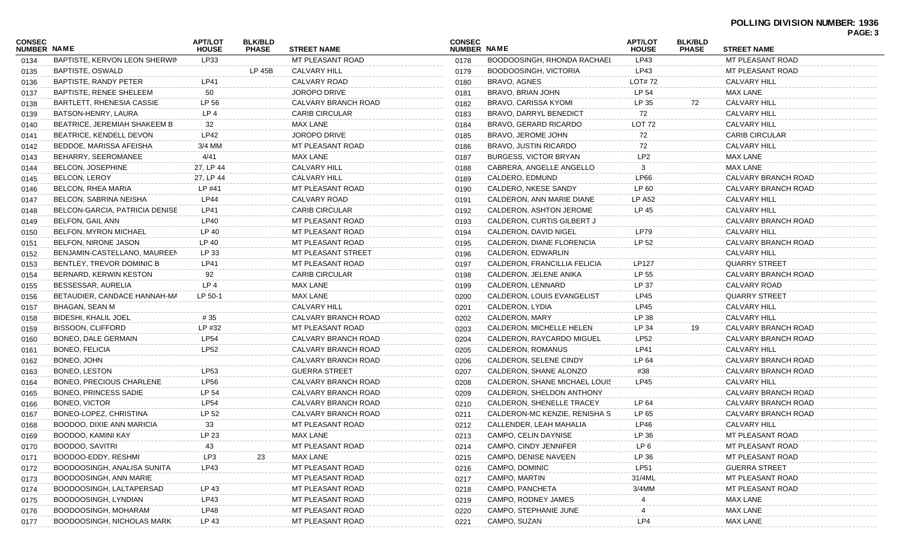|                              |                                   |                                |                                |                       |                                     |                               |                                |                                |                       | 5 A J L. J |
|------------------------------|-----------------------------------|--------------------------------|--------------------------------|-----------------------|-------------------------------------|-------------------------------|--------------------------------|--------------------------------|-----------------------|------------|
| <b>CONSEC</b><br>NUMBER NAME |                                   | <b>APT/LOT</b><br><b>HOUSE</b> | <b>BLK/BLD</b><br><b>PHASE</b> | <b>STREET NAME</b>    | <b>CONSEC</b><br><b>NUMBER NAME</b> |                               | <b>APT/LOT</b><br><b>HOUSE</b> | <b>BLK/BLD</b><br><b>PHASE</b> | <b>STREET NAME</b>    |            |
| 0134                         | BAPTISTE, KERVON LEON SHERWIN     | LP33                           |                                | MT PLEASANT ROAD      | 0178                                | BOODOOSINGH, RHONDA RACHAEL   | LP43                           |                                | MT PLEASANT ROAD      |            |
| 0135                         | BAPTISTE, OSWALD                  |                                | <b>LP 45B</b>                  | <b>CALVARY HILL</b>   | 0179                                | BOODOOSINGH, VICTORIA         | LP43                           |                                | MT PLEASANT ROAD      |            |
| 0136                         | BAPTISTE, RANDY PETER             | LP41                           |                                | CALVARY ROAD          | 0180                                | BRAVO, AGNES                  | LOT# 72                        |                                | <b>CALVARY HILL</b>   |            |
| 0137                         | <b>BAPTISTE, RENEE SHELEEM</b>    | 50                             |                                | JOROPO DRIVE          | 0181                                | BRAVO, BRIAN JOHN             | LP 54                          |                                | <b>MAX LANE</b>       |            |
| 0138                         | <b>BARTLETT, RHENESIA CASSIE</b>  | LP 56                          |                                | CALVARY BRANCH ROAD   | 0182                                | <b>BRAVO, CARISSA KYOMI</b>   | LP 35                          | 72                             | <b>CALVARY HILL</b>   |            |
| 0139                         | BATSON-HENRY, LAURA               | LP <sub>4</sub>                |                                | <b>CARIB CIRCULAR</b> | 0183                                | BRAVO, DARRYL BENEDICT        | 72                             |                                | <b>CALVARY HILL</b>   |            |
| 0140                         | BEATRICE, JEREMIAH SHAKEEM B      | 32                             |                                | MAX LANE              | 0184                                | BRAVO, GERARD RICARDO         | LOT 72                         |                                | <b>CALVARY HILL</b>   |            |
| 0141                         | <b>BEATRICE, KENDELL DEVON</b>    | LP42                           |                                | JOROPO DRIVE          | 0185                                | BRAVO, JEROME JOHN            | 72                             |                                | <b>CARIB CIRCULAR</b> |            |
| 0142                         | BEDDOE, MARISSA AFEISHA           | 3/4 MM                         |                                | MT PLEASANT ROAD      | 0186                                | BRAVO, JUSTIN RICARDO         | 72                             |                                | <b>CALVARY HILL</b>   |            |
| 0143                         | BEHARRY, SEEROMANEE               | 4/41                           |                                | MAX LANE              | 0187                                | <b>BURGESS, VICTOR BRYAN</b>  | LP <sub>2</sub>                |                                | <b>MAX LANE</b>       |            |
| 0144                         | BELCON, JOSEPHINE                 | 27, LP 44                      |                                | CALVARY HILL          | 0188                                | CABRERA, ANGELLE ANGELLO      |                                |                                | <b>MAX LANE</b>       |            |
| 0145                         | <b>BELCON, LEROY</b>              | 27, LP 44                      |                                | CALVARY HILL          | 0189                                | CALDERO, EDMUND               | LP66                           |                                | CALVARY BRANCH ROAD   |            |
| 0146                         | BELCON, RHEA MARIA                | LP #41                         |                                | MT PLEASANT ROAD      | 0190                                | CALDERO, NKESE SANDY          | LP 60                          |                                | CALVARY BRANCH ROAD   |            |
| 0147                         | BELCON, SABRINA NEISHA            | <b>LP44</b>                    |                                | CALVARY ROAD          | 0191                                | CALDERON, ANN MARIE DIANE     | LP A52                         |                                | <b>CALVARY HILL</b>   |            |
| 0148                         | BELCON-GARCIA, PATRICIA DENISE    | LP41                           |                                | <b>CARIB CIRCULAR</b> | 0192                                | CALDERON, ASHTON JEROME       | LP 45                          |                                | <b>CALVARY HILL</b>   |            |
| 0149                         | BELFON, GAIL ANN                  | LP40                           |                                | MT PLEASANT ROAD      | 0193                                | CALDERON, CURTIS GILBERT J    |                                |                                | CALVARY BRANCH ROAD   |            |
| 0150                         | BELFON, MYRON MICHAEL             | LP 40                          |                                | MT PLEASANT ROAD      | 0194                                | CALDERON, DAVID NIGEL         | LP79                           |                                | <b>CALVARY HILL</b>   |            |
| 0151                         | <b>BELFON, NIRONE JASON</b>       | LP 40                          |                                | MT PLEASANT ROAD      | 0195                                | CALDERON, DIANE FLORENCIA     | LP 52                          |                                | CALVARY BRANCH ROAD   |            |
| 0152                         | BENJAMIN-CASTELLANO, MAUREEN      | LP 33                          |                                | MT PLEASANT STREET    | 0196                                | CALDERON, EDWARLIN            |                                |                                | <b>CALVARY HILL</b>   |            |
| 0153                         | BENTLEY, TREVOR DOMINIC B         | LP41                           |                                | MT PLEASANT ROAD      | 0197                                | CALDERON, FRANCILLIA FELICIA  | LP127                          |                                | <b>QUARRY STREET</b>  |            |
| 0154                         | BERNARD, KERWIN KESTON            | 92                             |                                | <b>CARIB CIRCULAR</b> | 0198                                | CALDERON, JELENE ANIKA        | LP 55                          |                                | CALVARY BRANCH ROAD   |            |
| 0155                         | BESSESSAR, AURELIA                | LP <sub>4</sub>                |                                | <b>MAX LANE</b>       | 0199                                | CALDERON, LENNARD             | LP 37                          |                                | CALVARY ROAD          |            |
| 0156                         | BETAUDIER, CANDACE HANNAH-MA      | LP 50-1                        |                                | <b>MAX LANE</b>       | 0200                                | CALDERON, LOUIS EVANGELIST    | LP45                           |                                | QUARRY STREET         |            |
| 0157                         | BHAGAN, SEAN M                    |                                |                                | CALVARY HILL          | 0201                                | CALDERON, LYDIA               | LP45                           |                                | <b>CALVARY HILL</b>   |            |
| 0158                         | <b>BIDESHI, KHALIL JOEL</b>       | # 35                           |                                | CALVARY BRANCH ROAD   | 0202                                | CALDERON, MARY                | LP 38                          |                                | <b>CALVARY HILL</b>   |            |
| 0159                         | BISSOON, CLIFFORD                 | LP #32                         |                                | MT PLEASANT ROAD      | 0203                                | CALDERON, MICHELLE HELEN      | LP 34                          | 19                             | CALVARY BRANCH ROAD   |            |
| 0160                         | BONEO, DALE GERMAIN               | <b>LP54</b>                    |                                | CALVARY BRANCH ROAD   | 0204                                | CALDERON, RAYCARDO MIGUEL     | LP52                           |                                | CALVARY BRANCH ROAD   |            |
|                              | BONEO, FELICIA                    | <b>LP52</b>                    |                                | CALVARY BRANCH ROAD   | 0205                                | CALDERON, ROMANUS             | LP41                           |                                | <b>CALVARY HILL</b>   |            |
| 0161                         | BONEO, JOHN                       |                                |                                | CALVARY BRANCH ROAD   | 0206                                | CALDERON, SELENE CINDY        | LP 64                          |                                | CALVARY BRANCH ROAD   |            |
| 0162                         | BONEO, LESTON                     | <b>LP53</b>                    |                                | <b>GUERRA STREET</b>  |                                     | CALDERON, SHANE ALONZO        | #38                            |                                | CALVARY BRANCH ROAD   |            |
| 0163                         | BONEO, PRECIOUS CHARLENE          | <b>LP56</b>                    |                                | CALVARY BRANCH ROAD   | 0207                                | CALDERON, SHANE MICHAEL LOUIS | LP45                           |                                | <b>CALVARY HILL</b>   |            |
| 0164                         | <b>BONEO, PRINCESS SADIE</b>      |                                |                                |                       | 0208                                |                               |                                |                                |                       |            |
| 0165                         | <b>BONEO, VICTOR</b>              | LP 54                          |                                | CALVARY BRANCH ROAD   | 0209                                | CALDERON, SHELDON ANTHONY     |                                |                                | CALVARY BRANCH ROAD   |            |
| 0166                         |                                   | <b>LP54</b>                    |                                | CALVARY BRANCH ROAD   | 0210                                | CALDERON, SHENELLE TRACEY     | LP 64                          |                                | CALVARY BRANCH ROAD   |            |
| 0167                         | BONEO-LOPEZ, CHRISTINA            | LP 52                          |                                | CALVARY BRANCH ROAD   | 0211                                | CALDERON-MC KENZIE, RENISHA S | LP 65                          |                                | CALVARY BRANCH ROAD   |            |
| 0168                         | BOODOO, DIXIE ANN MARICIA         | 33                             |                                | MT PLEASANT ROAD      | 0212                                | CALLENDER, LEAH MAHALIA       | LP46                           |                                | <b>CALVARY HILL</b>   |            |
| 0169                         | BOODOO, KAMINI KAY                | LP 23                          |                                | <b>MAX LANE</b>       | 0213                                | CAMPO, CELIN DAYNISE          | LP 36                          |                                | MT PLEASANT ROAD      |            |
| 0170                         | BOODOO, SAVITRI                   | 43                             |                                | MT PLEASANT ROAD      | 0214                                | CAMPO, CINDY JENNIFER         | LP 6                           |                                | MT PLEASANT ROAD      |            |
| 0171                         | BOODOO-EDDY, RESHMI               | LP3                            | 23                             | <b>MAX LANE</b>       | 0215                                | CAMPO, DENISE NAVEEN          | LP 36                          |                                | MT PLEASANT ROAD      |            |
| 0172                         | BOODOOSINGH, ANALISA SUNITA       | LP43                           |                                | MT PLEASANT ROAD      | 0216                                | CAMPO, DOMINIC                | <b>LP51</b>                    |                                | <b>GUERRA STREET</b>  |            |
| 0173                         | BOODOOSINGH, ANN MARIE            |                                |                                | MT PLEASANT ROAD      | 0217                                | CAMPO, MARTIN                 | 31/4ML                         |                                | MT PLEASANT ROAD      |            |
| 0174                         | BOODOOSINGH, LALTAPERSAD          | LP 43                          |                                | MT PLEASANT ROAD      | 0218                                | CAMPO, PANCHETA               | 3/4MM                          |                                | MT PLEASANT ROAD      |            |
| 0175                         | BOODOOSINGH, LYNDIAN              | LP43                           |                                | MT PLEASANT ROAD      | 0219                                | CAMPO, RODNEY JAMES           |                                |                                | <b>MAX LANE</b>       |            |
| 0176                         | BOODOOSINGH, MOHARAM              | LP48                           |                                | MT PLEASANT ROAD      | 0220                                | CAMPO, STEPHANIE JUNE         |                                |                                | <b>MAX LANE</b>       |            |
| 0177                         | <b>BOODOOSINGH, NICHOLAS MARK</b> | LP 43                          |                                | MT PLEASANT ROAD      | 0221                                | CAMPO, SUZAN                  | LP4                            |                                | <b>MAX LANE</b>       |            |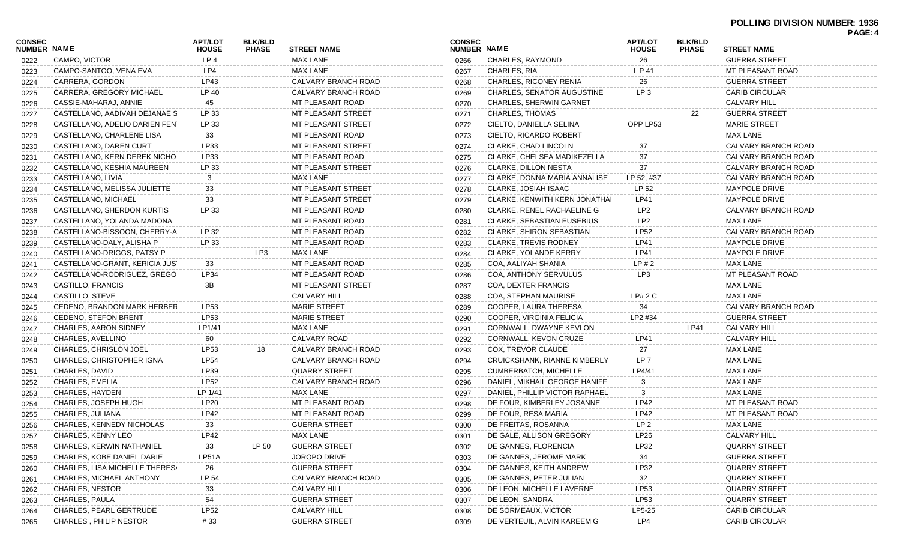|                              |                                  |                                |                                |                      |                                     |                                      |                                |                                |                       | PAGE: 4 |
|------------------------------|----------------------------------|--------------------------------|--------------------------------|----------------------|-------------------------------------|--------------------------------------|--------------------------------|--------------------------------|-----------------------|---------|
| <b>CONSEC</b><br>NUMBER NAME |                                  | <b>APT/LOT</b><br><b>HOUSE</b> | <b>BLK/BLD</b><br><b>PHASE</b> | <b>STREET NAME</b>   | <b>CONSEC</b><br><b>NUMBER NAME</b> |                                      | <b>APT/LOT</b><br><b>HOUSE</b> | <b>BLK/BLD</b><br><b>PHASE</b> | <b>STREET NAME</b>    |         |
| 0222                         | CAMPO, VICTOR                    | LP4                            |                                | <b>MAX LANE</b>      | 0266                                | CHARLES, RAYMOND                     | 26                             |                                | <b>GUERRA STREET</b>  |         |
| 0223                         | CAMPO-SANTOO, VENA EVA           | LP4                            |                                | <b>MAX LANE</b>      | 0267                                | CHARLES, RIA                         | L P 41                         |                                | MT PLEASANT ROAD      |         |
| 0224                         | CARRERA, GORDON                  | LP43                           |                                | CALVARY BRANCH ROAD  | 0268                                | <b>CHARLES, RICONEY RENIA</b>        | 26                             |                                | <b>GUERRA STREET</b>  |         |
| 0225                         | <b>CARRERA, GREGORY MICHAEL</b>  | LP 40                          |                                | CALVARY BRANCH ROAD  | 0269                                | <b>CHARLES, SENATOR AUGUSTINE</b>    | LP <sub>3</sub>                |                                | <b>CARIB CIRCULAR</b> |         |
| 0226                         | CASSIE-MAHARAJ, ANNIE            | 45                             |                                | MT PLEASANT ROAD     | 0270                                | CHARLES, SHERWIN GARNET              |                                |                                | <b>CALVARY HILL</b>   |         |
| 0227                         | CASTELLANO, AADIVAH DEJANAE S    | LP 33                          |                                | MT PLEASANT STREET   | 0271                                | CHARLES, THOMAS                      |                                | 22                             | <b>GUERRA STREET</b>  |         |
| 0228                         | CASTELLANO, ADELIO DARIEN FENT   | LP 33                          |                                | MT PLEASANT STREET   | 0272                                | CIELTO, DANIELLA SELINA              | OPP LP53                       |                                | <b>MARIE STREET</b>   |         |
| 0229                         | CASTELLANO, CHARLENE LISA        | 33                             |                                | MT PLEASANT ROAD     | 0273                                | CIELTO, RICARDO ROBERT               |                                |                                | <b>MAX LANE</b>       |         |
| 0230                         | CASTELLANO, DAREN CURT           | LP33                           |                                | MT PLEASANT STREET   | 0274                                | CLARKE, CHAD LINCOLN                 | 37                             |                                | CALVARY BRANCH ROAD   |         |
| 0231                         | CASTELLANO, KERN DEREK NICHO     | LP33                           |                                | MT PLEASANT ROAD     | 0275                                | CLARKE, CHELSEA MADIKEZELLA          | 37                             |                                | CALVARY BRANCH ROAD   |         |
| 0232                         | CASTELLANO, KESHIA MAUREEN       | LP 33                          |                                | MT PLEASANT STREET   | 0276                                | <b>CLARKE, DILLON NESTA</b>          | 37                             |                                | CALVARY BRANCH ROAD   |         |
| 0233                         | CASTELLANO, LIVIA                | 3                              |                                | <b>MAX LANE</b>      | 0277                                | CLARKE, DONNA MARIA ANNALISE         | LP 52, #37                     |                                | CALVARY BRANCH ROAD   |         |
| 0234                         | CASTELLANO, MELISSA JULIETTE     | 33                             |                                | MT PLEASANT STREET   | 0278                                | CLARKE, JOSIAH ISAAC                 | LP 52                          |                                | <b>MAYPOLE DRIVE</b>  |         |
| 0235                         | CASTELLANO, MICHAEL              | 33                             |                                | MT PLEASANT STREET   | 0279                                | <b>CLARKE, KENWITH KERN JONATHAI</b> | <b>LP41</b>                    |                                | <b>MAYPOLE DRIVE</b>  |         |
| 0236                         | CASTELLANO, SHERDON KURTIS       | LP 33                          |                                | MT PLEASANT ROAD     | 0280                                | CLARKE, RENEL RACHAELINE G           | LP <sub>2</sub>                |                                | CALVARY BRANCH ROAD   |         |
| 0237                         | CASTELLANO, YOLANDA MADONA       |                                |                                | MT PLEASANT ROAD     | 0281                                | <b>CLARKE, SEBASTIAN EUSEBIUS</b>    | LP <sub>2</sub>                |                                | <b>MAX LANE</b>       |         |
| 0238                         | CASTELLANO-BISSOON, CHERRY-A     | LP 32                          |                                | MT PLEASANT ROAD     | 0282                                | <b>CLARKE, SHIRON SEBASTIAN</b>      | <b>LP52</b>                    |                                | CALVARY BRANCH ROAD   |         |
| 0239                         | CASTELLANO-DALY, ALISHA P        | LP 33                          |                                | MT PLEASANT ROAD     | 0283                                | <b>CLARKE, TREVIS RODNEY</b>         | <b>LP41</b>                    |                                | <b>MAYPOLE DRIVE</b>  |         |
| 0240                         | CASTELLANO-DRIGGS, PATSY P       |                                | LP3                            | MAX LANE             | 0284                                | <b>CLARKE, YOLANDE KERRY</b>         | <b>LP41</b>                    |                                | <b>MAYPOLE DRIVE</b>  |         |
| 0241                         | CASTELLANO-GRANT, KERICIA JUST   | 33                             |                                | MT PLEASANT ROAD     | 0285                                | COA, AALIYAH SHANIA                  | LP#2                           |                                | MAX LANE              |         |
| 0242                         | CASTELLANO-RODRIGUEZ, GREGO      | LP34                           |                                | MT PLEASANT ROAD     | 0286                                | <b>COA, ANTHONY SERVULUS</b>         | LP3                            |                                | MT PLEASANT ROAD      |         |
| 0243                         | CASTILLO, FRANCIS                | 3B                             |                                | MT PLEASANT STREET   | 0287                                | COA, DEXTER FRANCIS                  |                                |                                | MAX LANE              |         |
| 0244                         | CASTILLO, STEVE                  |                                |                                | <b>CALVARY HILL</b>  | 0288                                | COA, STEPHAN MAURISE                 | LP# 2 C                        |                                | <b>MAX LANE</b>       |         |
| 0245                         | CEDENO, BRANDON MARK HERBER      | LP53                           |                                | <b>MARIE STREET</b>  | 0289                                | COOPER, LAURA THERESA                | 34                             |                                | CALVARY BRANCH ROAD   |         |
| 0246                         | <b>CEDENO, STEFON BRENT</b>      | <b>LP53</b>                    |                                | <b>MARIE STREET</b>  | 0290                                | COOPER, VIRGINIA FELICIA             | LP2 #34                        |                                | <b>GUERRA STREET</b>  |         |
| 0247                         | <b>CHARLES, AARON SIDNEY</b>     | LP1/41                         |                                | <b>MAX LANE</b>      | 0291                                | CORNWALL, DWAYNE KEVLON              |                                | LP41                           | <b>CALVARY HILL</b>   |         |
| 0248                         | CHARLES, AVELLINO                | 60                             |                                | CALVARY ROAD         | 0292                                | CORNWALL, KEVON CRUZE                | LP41                           |                                | <b>CALVARY HILL</b>   |         |
| 0249                         | CHARLES, CHRISLON JOEL           | LP53                           | 18                             | CALVARY BRANCH ROAD  | 0293                                | COX, TREVOR CLAUDE                   | 27                             |                                | <b>MAX LANE</b>       |         |
| 0250                         | CHARLES, CHRISTOPHER IGNA        | <b>LP54</b>                    |                                | CALVARY BRANCH ROAD  | 0294                                | CRUICKSHANK, RIANNE KIMBERLY         | LP <sub>7</sub>                |                                | <b>MAX LANE</b>       |         |
|                              | CHARLES, DAVID                   | LP39                           |                                | <b>QUARRY STREET</b> | 0295                                | <b>CUMBERBATCH, MICHELLE</b>         | LP4/41                         |                                | <b>MAX LANE</b>       |         |
| 0251                         | CHARLES, EMELIA                  | <b>LP52</b>                    |                                | CALVARY BRANCH ROAD  | 0296                                | DANIEL, MIKHAIL GEORGE HANIFF        | 3                              |                                | <b>MAX LANE</b>       |         |
| 0252                         | CHARLES, HAYDEN                  | LP 1/41                        |                                | <b>MAX LANE</b>      |                                     | DANIEL, PHILLIP VICTOR RAPHAEL       | 3                              |                                | <b>MAX LANE</b>       |         |
| 0253                         | CHARLES, JOSEPH HUGH             | LP20                           |                                | MT PLEASANT ROAD     | 0297                                | DE FOUR. KIMBERLEY JOSANNE           | LP42                           |                                | MT PLEASANT ROAD      |         |
| 0254                         |                                  | <b>LP42</b>                    |                                | MT PLEASANT ROAD     | 0298                                | DE FOUR, RESA MARIA                  | <b>LP42</b>                    |                                | MT PLEASANT ROAD      |         |
| 0255                         | CHARLES, JULIANA                 |                                |                                |                      | 0299                                |                                      | LP <sub>2</sub>                |                                |                       |         |
| 0256                         | CHARLES, KENNEDY NICHOLAS        | 33                             |                                | <b>GUERRA STREET</b> | 0300                                | DE FREITAS, ROSANNA                  |                                |                                | MAX LANE              |         |
| 0257                         | CHARLES, KENNY LEO               | LP42                           |                                | <b>MAX LANE</b>      | 0301                                | DE GALE, ALLISON GREGORY             | LP26                           |                                | CALVARY HILL          |         |
| 0258                         | <b>CHARLES, KERWIN NATHANIEL</b> | 33                             | LP 50                          | <b>GUERRA STREET</b> | 0302                                | DE GANNES, FLORENCIA                 | LP32                           |                                | <b>QUARRY STREET</b>  |         |
| 0259                         | CHARLES, KOBE DANIEL DARIE       | LP51A                          |                                | JOROPO DRIVE         | 0303                                | DE GANNES, JEROME MARK               | 34                             |                                | <b>GUERRA STREET</b>  |         |
| 0260                         | CHARLES, LISA MICHELLE THERES/   | 26                             |                                | <b>GUERRA STREET</b> | 0304                                | DE GANNES, KEITH ANDREW              | LP32                           |                                | <b>QUARRY STREET</b>  |         |
| 0261                         | CHARLES, MICHAEL ANTHONY         | LP 54                          |                                | CALVARY BRANCH ROAD  | 0305                                | DE GANNES, PETER JULIAN              | 32                             |                                | <b>QUARRY STREET</b>  |         |
| 0262                         | <b>CHARLES, NESTOR</b>           | 33                             |                                | CALVARY HILL         | 0306                                | DE LEON, MICHELLE LAVERNE            | LP53                           |                                | <b>QUARRY STREET</b>  |         |
| 0263                         | CHARLES, PAULA                   | 54                             |                                | <b>GUERRA STREET</b> | 0307                                | DE LEON, SANDRA                      | LP53                           |                                | <b>QUARRY STREET</b>  |         |
| 0264                         | <b>CHARLES, PEARL GERTRUDE</b>   | <b>LP52</b>                    |                                | CALVARY HILL         | 0308                                | DE SORMEAUX, VICTOR                  | LP5-25                         |                                | <b>CARIB CIRCULAR</b> |         |
| 0265                         | <b>CHARLES, PHILIP NESTOR</b>    | #33                            |                                | <b>GUERRA STREET</b> | 0309                                | DE VERTEUIL, ALVIN KAREEM G          | LP4                            |                                | <b>CARIB CIRCULAR</b> |         |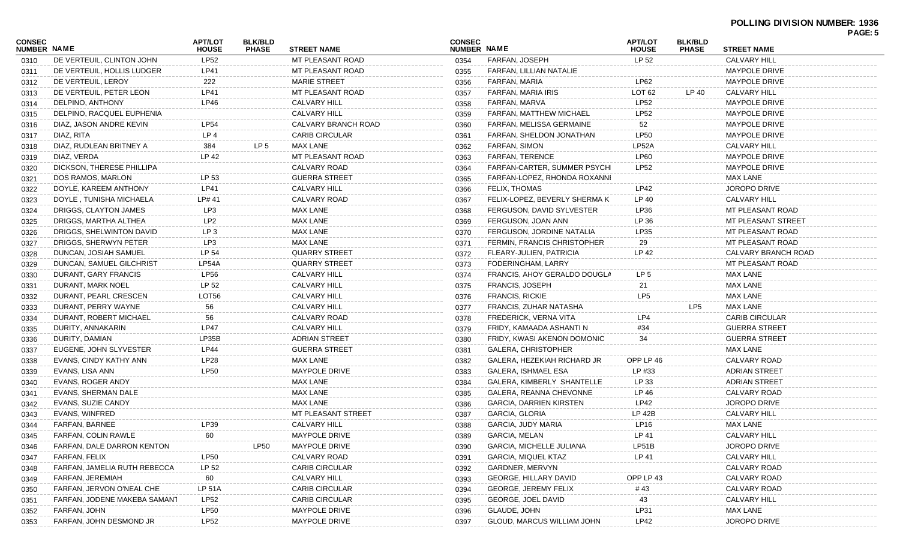|                              |                              |                                |                                |                       |                              |                                 |                                |                                |                       | r AUL. J |
|------------------------------|------------------------------|--------------------------------|--------------------------------|-----------------------|------------------------------|---------------------------------|--------------------------------|--------------------------------|-----------------------|----------|
| CONSEC<br><b>NUMBER NAME</b> |                              | <b>APT/LOT</b><br><b>HOUSE</b> | <b>BLK/BLD</b><br><b>PHASE</b> | <b>STREET NAME</b>    | <b>CONSEC</b><br>NUMBER NAME |                                 | <b>APT/LOT</b><br><b>HOUSE</b> | <b>BLK/BLD</b><br><b>PHASE</b> | <b>STREET NAME</b>    |          |
| 0310                         | DE VERTEUIL, CLINTON JOHN    | <b>LP52</b>                    |                                | MT PLEASANT ROAD      | 0354                         | FARFAN, JOSEPH                  | LP 52                          |                                | <b>CALVARY HILL</b>   |          |
| 0311                         | DE VERTEUIL, HOLLIS LUDGER   | LP41                           |                                | MT PLEASANT ROAD      | 0355                         | FARFAN, LILLIAN NATALIE         |                                |                                | <b>MAYPOLE DRIVE</b>  |          |
| 0312                         | DE VERTEUIL, LEROY           | 222                            |                                | <b>MARIE STREET</b>   | 0356                         | FARFAN, MARIA                   | LP62                           |                                | <b>MAYPOLE DRIVE</b>  |          |
| 0313                         | DE VERTEUIL, PETER LEON      | LP41                           |                                | MT PLEASANT ROAD      | 0357                         | FARFAN, MARIA IRIS              | LOT 62                         | LP 40                          | <b>CALVARY HILL</b>   |          |
| 0314                         | DELPINO, ANTHONY             | LP46                           |                                | <b>CALVARY HILL</b>   | 0358                         | FARFAN, MARVA                   | LP52                           |                                | <b>MAYPOLE DRIVE</b>  |          |
| 0315                         | DELPINO, RACQUEL EUPHENIA    |                                |                                | <b>CALVARY HILL</b>   | 0359                         | FARFAN, MATTHEW MICHAEL         | LP52                           |                                | <b>MAYPOLE DRIVE</b>  |          |
| 0316                         | DIAZ, JASON ANDRE KEVIN      | <b>LP54</b>                    |                                | CALVARY BRANCH ROAD   | 0360                         | FARFAN, MELISSA GERMAINE        | 52                             |                                | <b>MAYPOLE DRIVE</b>  |          |
| 0317                         | DIAZ, RITA                   | LP <sub>4</sub>                |                                | <b>CARIB CIRCULAR</b> | 0361                         | FARFAN, SHELDON JONATHAN        | LP50                           |                                | <b>MAYPOLE DRIVE</b>  |          |
| 0318                         | DIAZ, RUDLEAN BRITNEY A      | 384                            | LP 5                           | MAX LANE              | 0362                         | <b>FARFAN, SIMON</b>            | LP52A                          |                                | <b>CALVARY HILL</b>   |          |
| 0319                         | DIAZ, VERDA                  | LP 42                          |                                | MT PLEASANT ROAD      | 0363                         | <b>FARFAN, TERENCE</b>          | <b>LP60</b>                    |                                | <b>MAYPOLE DRIVE</b>  |          |
| 0320                         | DICKSON, THERESE PHILLIPA    |                                |                                | CALVARY ROAD          | 0364                         | FARFAN-CARTER, SUMMER PSYCHI    | LP <sub>52</sub>               |                                | <b>MAYPOLE DRIVE</b>  |          |
| 0321                         | DOS RAMOS, MARLON            | LP 53                          |                                | <b>GUERRA STREET</b>  | 0365                         | FARFAN-LOPEZ, RHONDA ROXANNI    |                                |                                | MAX LANE              |          |
| 0322                         | DOYLE, KAREEM ANTHONY        | LP41                           |                                | <b>CALVARY HILL</b>   | 0366                         | <b>FELIX, THOMAS</b>            | LP42                           |                                | <b>JOROPO DRIVE</b>   |          |
| 0323                         | DOYLE, TUNISHA MICHAELA      | LP# 41                         |                                | CALVARY ROAD          | 0367                         | FELIX-LOPEZ, BEVERLY SHERMA K   | LP 40                          |                                | <b>CALVARY HILL</b>   |          |
| 0324                         | DRIGGS, CLAYTON JAMES        | LP3                            |                                | MAX LANE              | 0368                         | FERGUSON, DAVID SYLVESTER       | LP36                           |                                | MT PLEASANT ROAD      |          |
| 0325                         | DRIGGS, MARTHA ALTHEA        | LP <sub>2</sub>                |                                | MAX LANE              | 0369                         | FERGUSON, JOAN ANN              | LP 36                          |                                | MT PLEASANT STREET    |          |
| 0326                         | DRIGGS, SHELWINTON DAVID     | LP <sub>3</sub>                |                                | MAX LANE              | 0370                         | FERGUSON, JORDINE NATALIA       | LP35                           |                                | MT PLEASANT ROAD      |          |
| 0327                         | DRIGGS, SHERWYN PETER        | LP3                            |                                | MAX LANE              | 0371                         | FERMIN, FRANCIS CHRISTOPHER     | 29                             |                                | MT PLEASANT ROAD      |          |
| 0328                         | DUNCAN, JOSIAH SAMUEL        | LP 54                          |                                | <b>QUARRY STREET</b>  | 0372                         | FLEARY-JULIEN, PATRICIA         | LP 42                          |                                | CALVARY BRANCH ROAD   |          |
| 0329                         | DUNCAN, SAMUEL GILCHRIST     | LP54A                          |                                | <b>QUARRY STREET</b>  | 0373                         | FODERINGHAM, LARRY              |                                |                                | MT PLEASANT ROAD      |          |
| 0330                         | DURANT, GARY FRANCIS         | <b>LP56</b>                    |                                | <b>CALVARY HILL</b>   | 0374                         | FRANCIS, AHOY GERALDO DOUGLA    | LP 5                           |                                | MAX LANE              |          |
| 0331                         | DURANT, MARK NOEL            | LP 52                          |                                | <b>CALVARY HILL</b>   | 0375                         | <b>FRANCIS, JOSEPH</b>          | 21                             |                                | MAX LANE              |          |
| 0332                         | DURANT, PEARL CRESCEN        | LOT56                          |                                | <b>CALVARY HILL</b>   | 0376                         | <b>FRANCIS, RICKIE</b>          | LP5                            |                                | <b>MAX LANE</b>       |          |
| 0333                         | DURANT, PERRY WAYNE          | 56                             |                                | CALVARY HILL          | 0377                         | FRANCIS, ZUHAR NATASHA          |                                | LP <sub>5</sub>                | MAX LANE              |          |
| 0334                         | DURANT, ROBERT MICHAEL       | 56                             |                                | CALVARY ROAD          | 0378                         | FREDERICK, VERNA VITA           | LP4                            |                                | <b>CARIB CIRCULAR</b> |          |
| 0335                         | DURITY, ANNAKARIN            | <b>LP47</b>                    |                                | CALVARY HILL          | 0379                         | FRIDY, KAMAADA ASHANTI N        | #34                            |                                | <b>GUERRA STREET</b>  |          |
| 0336                         | DURITY, DAMIAN               | LP35B                          |                                | <b>ADRIAN STREET</b>  | 0380                         | FRIDY, KWASI AKENON DOMONIC     | 34                             |                                | <b>GUERRA STREET</b>  |          |
| 0337                         | EUGENE, JOHN SLYVESTER       | LP44                           |                                | <b>GUERRA STREET</b>  | 0381                         | <b>GALERA, CHRISTOPHER</b>      |                                |                                | <b>MAX LANE</b>       |          |
| 0338                         | EVANS, CINDY KATHY ANN       | LP28                           |                                | MAX LANE              | 0382                         | GALERA, HEZEKIAH RICHARD JR     | OPP LP 46                      |                                | CALVARY ROAD          |          |
| 0339                         | EVANS, LISA ANN              | <b>LP50</b>                    |                                | <b>MAYPOLE DRIVE</b>  | 0383                         | <b>GALERA, ISHMAEL ESA</b>      | LP #33                         |                                | <b>ADRIAN STREET</b>  |          |
| 0340                         | EVANS, ROGER ANDY            |                                |                                | MAX LANE              | 0384                         | GALERA, KIMBERLY SHANTELLE      | LP 33                          |                                | <b>ADRIAN STREET</b>  |          |
| 0341                         | EVANS, SHERMAN DALE          |                                |                                | MAX LANE              | 0385                         | GALERA, REANNA CHEVONNE         | LP 46                          |                                | CALVARY ROAD          |          |
| 0342                         | EVANS, SUZIE CANDY           |                                |                                | MAX LANE              | 0386                         | <b>GARCIA, DARRIEN KIRSTEN</b>  | LP42                           |                                | <b>JOROPO DRIVE</b>   |          |
| 0343                         | EVANS, WINFRED               |                                |                                | MT PLEASANT STREET    | 0387                         | GARCIA, GLORIA                  | <b>LP 42B</b>                  |                                | <b>CALVARY HILL</b>   |          |
| 0344                         | FARFAN, BARNEE               | LP39                           |                                | <b>CALVARY HILL</b>   | 0388                         | GARCIA, JUDY MARIA              | <b>LP16</b>                    |                                | MAX LANE              |          |
| 0345                         | FARFAN, COLIN RAWLE          |                                |                                | MAYPOLE DRIVE         |                              | 0389 GARCIA, MELAN              | LP 41                          |                                | CALVARY HILL          |          |
| 0346                         | FARFAN, DALE DARRON KENTON   |                                | LP50                           | MAYPOLE DRIVE         | 0390                         | <b>GARCIA, MICHELLE JULIANA</b> | LP51B                          |                                | <b>JOROPO DRIVE</b>   |          |
| 0347                         | FARFAN, FELIX                | <b>LP50</b>                    |                                | CALVARY ROAD          | 0391                         | GARCIA, MIQUEL KTAZ             | LP 41                          |                                | <b>CALVARY HILL</b>   |          |
| 0348                         | FARFAN, JAMELIA RUTH REBECCA | LP 52                          |                                | <b>CARIB CIRCULAR</b> | 0392                         | GARDNER, MERVYN                 |                                |                                | CALVARY ROAD          |          |
| 0349                         | FARFAN, JEREMIAH             | 60                             |                                | CALVARY HILL          | 0393                         | GEORGE, HILLARY DAVID           | OPP LP 43                      |                                | CALVARY ROAD          |          |
| 0350                         | FARFAN, JERVON O'NEAL CHE    | LP 51A                         |                                | <b>CARIB CIRCULAR</b> | 0394                         | <b>GEORGE, JEREMY FELIX</b>     | # 43                           |                                | <b>CALVARY ROAD</b>   |          |
| 0351                         | FARFAN, JODENE MAKEBA SAMANT | <b>LP52</b>                    |                                | <b>CARIB CIRCULAR</b> | 0395                         | <b>GEORGE, JOEL DAVID</b>       | 43                             |                                | <b>CALVARY HILL</b>   |          |
| 0352                         | FARFAN, JOHN                 | LP50                           |                                | <b>MAYPOLE DRIVE</b>  | 0396                         | <b>GLAUDE, JOHN</b>             | LP31                           |                                | MAX LANE              |          |
| 0353                         | FARFAN, JOHN DESMOND JR      | <b>LP52</b>                    |                                | MAYPOLE DRIVE         | 0397                         | GLOUD, MARCUS WILLIAM JOHN      | LP42                           |                                | <b>JOROPO DRIVE</b>   |          |
|                              |                              |                                |                                |                       |                              |                                 |                                |                                |                       |          |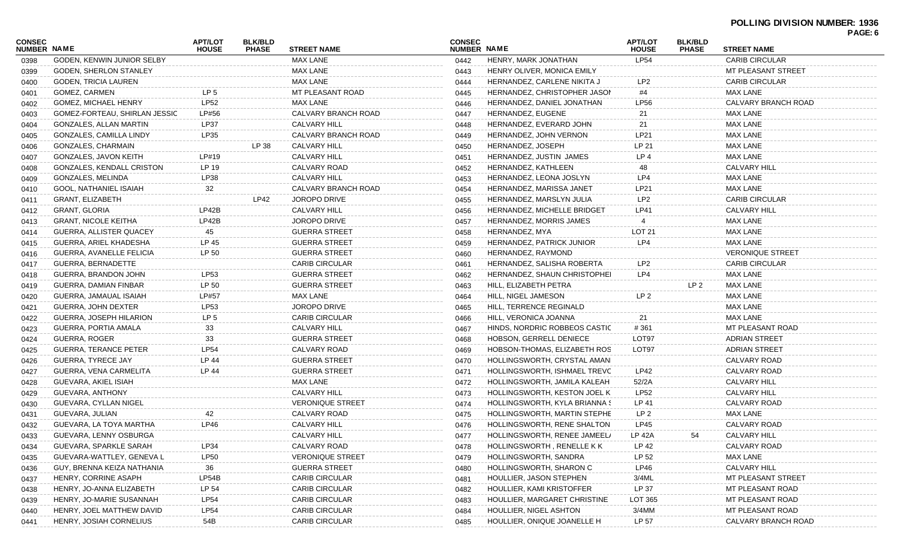### **POLLING DIVISION NUMBER: 1936**

| CONSEC             |                                 | <b>APT/LOT</b>  | <b>BLK/BLD</b> |                            | <b>CONSEC</b>      |                               | <b>APT/LOT</b>  | <b>BLK/BLD</b>  |                         | PAGE: 6 |
|--------------------|---------------------------------|-----------------|----------------|----------------------------|--------------------|-------------------------------|-----------------|-----------------|-------------------------|---------|
| <b>NUMBER NAME</b> |                                 | <b>HOUSE</b>    | <b>PHASE</b>   | <b>STREET NAME</b>         | <b>NUMBER NAME</b> |                               | <b>HOUSE</b>    | <b>PHASE</b>    | <b>STREET NAME</b>      |         |
| 0398               | GODEN, KENWIN JUNIOR SELBY      |                 |                | <b>MAX LANE</b>            | 0442               | HENRY, MARK JONATHAN          | <b>LP54</b>     |                 | <b>CARIB CIRCULAR</b>   |         |
| 0399               | <b>GODEN, SHERLON STANLEY</b>   |                 |                | <b>MAX LANE</b>            | 0443               | HENRY OLIVER, MONICA EMILY    |                 |                 | MT PLEASANT STREET      |         |
| 0400               | GODEN, TRICIA LAUREN            |                 |                | <b>MAX LANE</b>            | 0444               | HERNANDEZ, CARLENE NIKITA J   | LP <sub>2</sub> |                 | <b>CARIB CIRCULAR</b>   |         |
| 0401               | GOMEZ, CARMEN                   | LP <sub>5</sub> |                | MT PLEASANT ROAD           | 0445               | HERNANDEZ, CHRISTOPHER JASON  | #4              |                 | <b>MAX LANE</b>         |         |
| 0402               | GOMEZ, MICHAEL HENRY            | <b>LP52</b>     |                | MAX LANE                   | 0446               | HERNANDEZ, DANIEL JONATHAN    | <b>LP56</b>     |                 | CALVARY BRANCH ROAD     |         |
| 0403               | GOMEZ-FORTEAU, SHIRLAN JESSIC   | LP#56           |                | CALVARY BRANCH ROAD        | 0447               | HERNANDEZ, EUGENE             | 21              |                 | <b>MAX LANE</b>         |         |
| 0404               | GONZALES, ALLAN MARTIN          | <b>LP37</b>     |                | <b>CALVARY HILL</b>        | 0448               | HERNANDEZ, EVERARD JOHN       | 21              |                 | <b>MAX LANE</b>         |         |
| 0405               | GONZALES, CAMILLA LINDY         | LP35            |                | <b>CALVARY BRANCH ROAD</b> | 0449               | HERNANDEZ, JOHN VERNON        | LP21            |                 | <b>MAX LANE</b>         |         |
| 0406               | GONZALES, CHARMAIN              |                 | LP 38          | <b>CALVARY HILL</b>        | 0450               | HERNANDEZ, JOSEPH             | LP 21           |                 | <b>MAX LANE</b>         |         |
| 0407               | GONZALES, JAVON KEITH           | LP#19           |                | <b>CALVARY HILL</b>        | 0451               | HERNANDEZ, JUSTIN JAMES       | LP <sub>4</sub> |                 | <b>MAX LANE</b>         |         |
| 0408               | GONZALES, KENDALL CRISTON       | LP 19           |                | CALVARY ROAD               | 0452               | HERNANDEZ, KATHLEEN           | 48              |                 | <b>CALVARY HILL</b>     |         |
| 0409               | GONZALES, MELINDA               | LP38            |                | <b>CALVARY HILL</b>        | 0453               | HERNANDEZ, LEONA JOSLYN       | LP4             |                 | <b>MAX LANE</b>         |         |
| 0410               | GOOL, NATHANIEL ISAIAH          | 32              |                | CALVARY BRANCH ROAD        | 0454               | HERNANDEZ, MARISSA JANET      | LP21            |                 | <b>MAX LANE</b>         |         |
| 0411               | <b>GRANT, ELIZABETH</b>         |                 | <b>LP42</b>    | <b>JOROPO DRIVE</b>        | 0455               | HERNANDEZ, MARSLYN JULIA      | LP <sub>2</sub> |                 | <b>CARIB CIRCULAR</b>   |         |
| 0412               | <b>GRANT, GLORIA</b>            | LP42B           |                | <b>CALVARY HILL</b>        | 0456               | HERNANDEZ, MICHELLE BRIDGET   | <b>LP41</b>     |                 | <b>CALVARY HILL</b>     |         |
| 0413               | <b>GRANT, NICOLE KEITHA</b>     | LP42B           |                | <b>JOROPO DRIVE</b>        | 0457               | HERNANDEZ, MORRIS JAMES       |                 |                 | <b>MAX LANE</b>         |         |
| 0414               | GUERRA, ALLISTER QUACEY         | 45              |                | <b>GUERRA STREET</b>       | 0458               | HERNANDEZ, MYA                | <b>LOT 21</b>   |                 | <b>MAX LANE</b>         |         |
| 0415               | GUERRA, ARIEL KHADESHA          | LP 45           |                | <b>GUERRA STREET</b>       | 0459               | HERNANDEZ, PATRICK JUNIOR     | LP4             |                 | <b>MAX LANE</b>         |         |
| 0416               | <b>GUERRA, AVANELLE FELICIA</b> | LP 50           |                | <b>GUERRA STREET</b>       | 0460               | HERNANDEZ, RAYMOND            |                 |                 | <b>VERONIQUE STREET</b> |         |
| 0417               | GUERRA, BERNADETTE              |                 |                | <b>CARIB CIRCULAR</b>      | 0461               | HERNANDEZ, SALISHA ROBERTA    | LP <sub>2</sub> |                 | <b>CARIB CIRCULAR</b>   |         |
| 0418               | GUERRA, BRANDON JOHN            | LP53            |                | <b>GUERRA STREET</b>       | 0462               | HERNANDEZ, SHAUN CHRISTOPHEI  | LP4             |                 | <b>MAX LANE</b>         |         |
| 0419               | GUERRA, DAMIAN FINBAR           | LP 50           |                | <b>GUERRA STREET</b>       | 0463               | HILL, ELIZABETH PETRA         |                 | LP <sub>2</sub> | <b>MAX LANE</b>         |         |
| 0420               | GUERRA, JAMAUAL ISAIAH          | LP#57           |                | MAX LANE                   | 0464               | HILL, NIGEL JAMESON           | LP <sub>2</sub> |                 | <b>MAX LANE</b>         |         |
| 0421               | GUERRA, JOHN DEXTER             | LP53            |                | JOROPO DRIVE               | 0465               | HILL, TERRENCE REGINALD       |                 |                 | <b>MAX LANE</b>         |         |
| 0422               | GUERRA, JOSEPH HILARION         | LP <sub>5</sub> |                | <b>CARIB CIRCULAR</b>      | 0466               | HILL, VERONICA JOANNA         | 21              |                 | <b>MAX LANE</b>         |         |
| 0423               | GUERRA, PORTIA AMALA            | 33              |                | <b>CALVARY HILL</b>        | 0467               | HINDS, NORDRIC ROBBEOS CASTIC | #361            |                 | MT PLEASANT ROAD        |         |
| 0424               | <b>GUERRA, ROGER</b>            | 33              |                | <b>GUERRA STREET</b>       | 0468               | HOBSON, GERRELL DENIECE       | LOT97           |                 | <b>ADRIAN STREET</b>    |         |
| 0425               | <b>GUERRA, TERANCE PETER</b>    | <b>LP54</b>     |                | CALVARY ROAD               | 0469               | HOBSON-THOMAS, ELIZABETH ROS  | LOT97           |                 | <b>ADRIAN STREET</b>    |         |
| 0426               | <b>GUERRA, TYRECE JAY</b>       | LP 44           |                | <b>GUERRA STREET</b>       | 0470               | HOLLINGSWORTH, CRYSTAL AMANI  |                 |                 | <b>CALVARY ROAD</b>     |         |
| 0427               | GUERRA, VENA CARMELITA          | LP 44           |                | <b>GUERRA STREET</b>       | 0471               | HOLLINGSWORTH, ISHMAEL TREVC  | LP42            |                 | CALVARY ROAD            |         |
| 0428               | GUEVARA, AKIEL ISIAH            |                 |                | MAX LANE                   | 0472               | HOLLINGSWORTH, JAMILA KALEAH  | 52/2A           |                 | <b>CALVARY HILL</b>     |         |
| 0429               | GUEVARA, ANTHONY                |                 |                | <b>CALVARY HILL</b>        | 0473               | HOLLINGSWORTH, KESTON JOEL K  | <b>LP52</b>     |                 | <b>CALVARY HILL</b>     |         |
| 0430               | GUEVARA, CYLLAN NIGEL           |                 |                | <b>VERONIQUE STREET</b>    | 0474               | HOLLINGSWORTH, KYLA BRIANNA S | LP 41           |                 | <b>CALVARY ROAD</b>     |         |
| 0431               | GUEVARA, JULIAN                 | 42              |                | CALVARY ROAD               | 0475               | HOLLINGSWORTH, MARTIN STEPHE  | LP <sub>2</sub> |                 | <b>MAX LANE</b>         |         |
| 0432               | GUEVARA, LA TOYA MARTHA         | LP46            |                | <b>CALVARY HILL</b>        | 0476               | HOLLINGSWORTH, RENE SHALTON   | <b>LP45</b>     |                 | <b>CALVARY ROAD</b>     |         |
| 0433               | GUEVARA, LENNY OSBURGA          |                 |                | <b>CALVARY HILL</b>        | 0477               | HOLLINGSWORTH, RENEE JAMEEL/  | <b>LP 42A</b>   | 54              | <b>CALVARY HILL</b>     |         |
| 0434               | GUEVARA, SPARKLE SARAH          | LP34            |                | CALVARY ROAD               | 0478               | HOLLINGSWORTH, RENELLE KK     | LP 42           |                 | CALVARY ROAD            |         |
| 0435               | GUEVARA-WATTLEY, GENEVA L       | <b>LP50</b>     |                | <b>VERONIQUE STREET</b>    | 0479               | HOLLINGSWORTH, SANDRA         | LP 52           |                 | <b>MAX LANE</b>         |         |
| 0436               | GUY, BRENNA KEIZA NATHANIA      | 36              |                | <b>GUERRA STREET</b>       | 0480               | HOLLINGSWORTH, SHARON C       | LP46            |                 | <b>CALVARY HILL</b>     |         |
| 0437               | HENRY, CORRINE ASAPH            | LP54B           |                | <b>CARIB CIRCULAR</b>      | 0481               | HOULLIER, JASON STEPHEN       | 3/4ML           |                 | MT PLEASANT STREET      |         |
| 0438               | HENRY, JO-ANNA ELIZABETH        | LP 54           |                | <b>CARIB CIRCULAR</b>      | 0482               | HOULLIER, KAMI KRISTOFFER     | LP 37           |                 | MT PLEASANT ROAD        |         |
| 0439               | HENRY, JO-MARIE SUSANNAH        | <b>LP54</b>     |                | <b>CARIB CIRCULAR</b>      | 0483               | HOULLIER, MARGARET CHRISTINE  | LOT 365         |                 | MT PLEASANT ROAD        |         |
| 0440               | HENRY, JOEL MATTHEW DAVID       | <b>LP54</b>     |                | <b>CARIB CIRCULAR</b>      | 0484               | HOULLIER, NIGEL ASHTON        | 3/4MM           |                 | MT PLEASANT ROAD        |         |
| 0441               | HENRY, JOSIAH CORNELIUS         | 54B             |                | <b>CARIB CIRCULAR</b>      | 0485               | HOULLIER, ONIQUE JOANELLE H   | LP 57           |                 | CALVARY BRANCH ROAD     |         |
|                    |                                 |                 |                |                            |                    |                               |                 |                 |                         |         |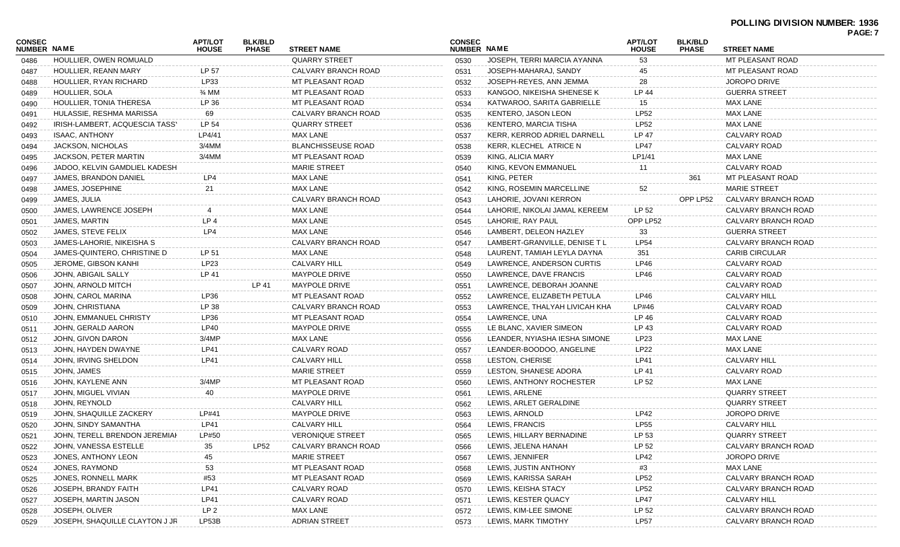| CONSEC<br><b>NUMBER NAME</b> |                                | <b>APT/LOT</b><br><b>HOUSE</b> | <b>BLK/BLD</b><br><b>PHASE</b> | <b>STREET NAME</b>        | <b>CONSEC</b><br>NUMBER NAME |                               | <b>APT/LOT</b><br><b>HOUSE</b> | <b>BLK/BLD</b><br><b>PHASE</b> | <b>STREET NAME</b>      | <b>PAGE: 7</b> |
|------------------------------|--------------------------------|--------------------------------|--------------------------------|---------------------------|------------------------------|-------------------------------|--------------------------------|--------------------------------|-------------------------|----------------|
| 0486                         | HOULLIER, OWEN ROMUALD         |                                |                                | <b>QUARRY STREET</b>      | 0530                         | JOSEPH, TERRI MARCIA AYANNA   | 53                             |                                | <b>MT PLEASANT ROAD</b> |                |
| 0487                         | HOULLIER, REANN MARY           | LP 57                          |                                | CALVARY BRANCH ROAD       | 0531                         | JOSEPH-MAHARAJ, SANDY         | 45                             |                                | MT PLEASANT ROAD        |                |
| 0488                         | HOULLIER, RYAN RICHARD         | LP33                           |                                | MT PLEASANT ROAD          | 0532                         | JOSEPH-REYES, ANN JEMMA       | 28                             |                                | <b>JOROPO DRIVE</b>     |                |
| 0489                         | <b>HOULLIER, SOLA</b>          | $\frac{3}{4}$ MM               |                                | <b>MT PLEASANT ROAD</b>   | 0533                         | KANGOO, NIKEISHA SHENESE K    | LP 44                          |                                | <b>GUERRA STREET</b>    |                |
| 0490                         | HOULLIER, TONIA THERESA        | LP 36                          |                                | MT PLEASANT ROAD          | 0534                         | KATWAROO, SARITA GABRIELLE    | 15                             |                                | <b>MAX LANE</b>         |                |
| 0491                         | HULASSIE, RESHMA MARISSA       | 69                             |                                | CALVARY BRANCH ROAD       | 0535                         | KENTERO, JASON LEON           | LP52                           |                                | <b>MAX LANE</b>         |                |
| 0492                         | IRISH-LAMBERT, ACQUESCIA TASS' | LP 54                          |                                | <b>QUARRY STREET</b>      | 0536                         | KENTERO, MARCIA TISHA         | LP52                           |                                | <b>MAX LANE</b>         |                |
| 0493                         | <b>ISAAC, ANTHONY</b>          | LP4/41                         |                                | MAX LANE                  | 0537                         | KERR, KERROD ADRIEL DARNELL   | LP 47                          |                                | <b>CALVARY ROAD</b>     |                |
| 0494                         | JACKSON, NICHOLAS              | 3/4MM                          |                                | <b>BLANCHISSEUSE ROAD</b> | 0538                         | <b>KERR, KLECHEL ATRICE N</b> | <b>LP47</b>                    |                                | CALVARY ROAD            |                |
| 0495                         | JACKSON, PETER MARTIN          | 3/4MM                          |                                | MT PLEASANT ROAD          | 0539                         | KING, ALICIA MARY             | LP1/41                         |                                | <b>MAX LANE</b>         |                |
| 0496                         | JADOO, KELVIN GAMDLIEL KADESH  |                                |                                | <b>MARIE STREET</b>       | 0540                         | KING, KEVON EMMANUEL          | 11                             |                                | CALVARY ROAD            |                |
| 0497                         | JAMES, BRANDON DANIEL          | LP4                            |                                | MAX LANE                  | 0541                         | KING, PETER                   |                                | 361                            | MT PLEASANT ROAD        |                |
| 0498                         | JAMES, JOSEPHINE               | 21                             |                                | <b>MAX LANE</b>           | 0542                         | KING, ROSEMIN MARCELLINE      | 52                             |                                | <b>MARIE STREET</b>     |                |
| 0499                         | JAMES, JULIA                   |                                |                                | CALVARY BRANCH ROAD       | 0543                         | LAHORIE, JOVANI KERRON        |                                | OPP LP52                       | CALVARY BRANCH ROAD     |                |
| 0500                         | JAMES, LAWRENCE JOSEPH         |                                |                                | MAX LANE                  | 0544                         | LAHORIE, NIKOLAI JAMAL KEREEM | LP 52                          |                                | CALVARY BRANCH ROAD     |                |
| 0501                         | JAMES, MARTIN                  | LP <sub>4</sub>                |                                | <b>MAX LANE</b>           | 0545                         | LAHORIE, RAY PAUL             | OPP LP52                       |                                | CALVARY BRANCH ROAD     |                |
| 0502                         | JAMES, STEVE FELIX             | LP4                            |                                | <b>MAX LANE</b>           | 0546                         | LAMBERT, DELEON HAZLEY        | 33                             |                                | <b>GUERRA STREET</b>    |                |
| 0503                         | JAMES-LAHORIE, NIKEISHA S      |                                |                                | CALVARY BRANCH ROAD       | 0547                         | LAMBERT-GRANVILLE, DENISE T L | <b>LP54</b>                    |                                | CALVARY BRANCH ROAD     |                |
| 0504                         | JAMES-QUINTERO, CHRISTINE D    | LP 51                          |                                | MAX LANE                  | 0548                         | LAURENT, TAMIAH LEYLA DAYNA   | 351                            |                                | <b>CARIB CIRCULAR</b>   |                |
| 0505                         | <b>JEROME, GIBSON KANHI</b>    | LP23                           |                                | <b>CALVARY HILL</b>       | 0549                         | LAWRENCE, ANDERSON CURTIS     | LP46                           |                                | CALVARY ROAD            |                |
| 0506                         | JOHN, ABIGAIL SALLY            | LP 41                          |                                | <b>MAYPOLE DRIVE</b>      | 0550                         | LAWRENCE, DAVE FRANCIS        | LP46                           |                                | CALVARY ROAD            |                |
| 0507                         | JOHN, ARNOLD MITCH             |                                | LP 41                          | <b>MAYPOLE DRIVE</b>      | 0551                         | LAWRENCE, DEBORAH JOANNE      |                                |                                | CALVARY ROAD            |                |
| 0508                         | JOHN, CAROL MARINA             | LP36                           |                                | MT PLEASANT ROAD          | 0552                         | LAWRENCE, ELIZABETH PETULA    | LP46                           |                                | <b>CALVARY HILL</b>     |                |
| 0509                         | JOHN, CHRISTIANA               | LP 38                          |                                | CALVARY BRANCH ROAD       | 0553                         | LAWRENCE, THALYAH LIVICAH KHA | LP#46                          |                                | CALVARY ROAD            |                |
| 0510                         | JOHN, EMMANUEL CHRISTY         | LP36                           |                                | MT PLEASANT ROAD          | 0554                         | LAWRENCE, UNA                 | LP 46                          |                                | CALVARY ROAD            |                |
| 0511                         | JOHN, GERALD AARON             | LP40                           |                                | <b>MAYPOLE DRIVE</b>      | 0555                         | LE BLANC, XAVIER SIMEON       | LP 43                          |                                | CALVARY ROAD            |                |
| 0512                         | JOHN, GIVON DARON              | 3/4MP                          |                                | MAX LANE                  | 0556                         | LEANDER, NYIASHA IESHA SIMONE | LP23                           |                                | <b>MAX LANE</b>         |                |
| 0513                         | JOHN, HAYDEN DWAYNE            | LP41                           |                                | CALVARY ROAD              | 0557                         | LEANDER-BOODOO, ANGELINE      | <b>LP22</b>                    |                                | <b>MAX LANE</b>         |                |
| 0514                         | JOHN, IRVING SHELDON           | <b>LP41</b>                    |                                | <b>CALVARY HILL</b>       | 0558                         | LESTON, CHERISE               | LP41                           |                                | <b>CALVARY HILL</b>     |                |
| 0515                         | JOHN, JAMES                    |                                |                                | <b>MARIE STREET</b>       | 0559                         | LESTON, SHANESE ADORA         | LP 41                          |                                | CALVARY ROAD            |                |
| 0516                         | JOHN, KAYLENE ANN              | 3/4MP                          |                                | <b>MT PLEASANT ROAD</b>   | 0560                         | LEWIS, ANTHONY ROCHESTER      | LP 52                          |                                | MAX LANE                |                |
| 0517                         | JOHN, MIGUEL VIVIAN            | 40                             |                                | <b>MAYPOLE DRIVE</b>      | 0561                         | LEWIS, ARLENE                 |                                |                                | <b>QUARRY STREET</b>    |                |
| 0518                         | JOHN, REYNOLD                  |                                |                                | <b>CALVARY HILL</b>       | 0562                         | LEWIS, ARLET GERALDINE        |                                |                                | <b>QUARRY STREET</b>    |                |
| 0519                         | JOHN, SHAQUILLE ZACKERY        | LP#41                          |                                | <b>MAYPOLE DRIVE</b>      | 0563                         | LEWIS, ARNOLD                 | LP42                           |                                | <b>JOROPO DRIVE</b>     |                |
| 0520                         | JOHN, SINDY SAMANTHA           | LP41                           |                                | <b>CALVARY HILL</b>       | 0564                         | LEWIS, FRANCIS                | <b>LP55</b>                    |                                | <b>CALVARY HILL</b>     |                |
| 0521                         | JOHN, TERELL BRENDON JEREMIAH  | LP#50                          |                                | <b>VERONIQUE STREET</b>   | 0565                         | LEWIS, HILLARY BERNADINE      | LP 53                          |                                | <b>QUARRY STREET</b>    |                |
| 0522                         | JOHN, VANESSA ESTELLE          | 35                             | <b>LP52</b>                    | CALVARY BRANCH ROAD       | 0566                         | LEWIS, JELENA HANAH           | LP 52                          |                                | CALVARY BRANCH ROAD     |                |
| 0523                         | JONES, ANTHONY LEON            | 45                             |                                | <b>MARIE STREET</b>       | 0567                         | LEWIS, JENNIFER               | LP42                           |                                | JOROPO DRIVE            |                |
| 0524                         | JONES, RAYMOND                 | 53                             |                                | MT PLEASANT ROAD          | 0568                         | LEWIS, JUSTIN ANTHONY         | #3                             |                                | MAX LANE                |                |
| 0525                         | JONES, RONNELL MARK            | #53                            |                                | MT PLEASANT ROAD          | 0569                         | LEWIS, KARISSA SARAH          | <b>LP52</b>                    |                                | CALVARY BRANCH ROAD     |                |
| 0526                         | JOSEPH, BRANDY FAITH           | <b>LP41</b>                    |                                | CALVARY ROAD              | 0570                         | LEWIS, KEISHA STACY           | LP52                           |                                | CALVARY BRANCH ROAD     |                |
| 0527                         | JOSEPH, MARTIN JASON           | <b>LP41</b>                    |                                | CALVARY ROAD              | 0571                         | LEWIS, KESTER QUACY           | <b>LP47</b>                    |                                | CALVARY HILL            |                |
| 0528                         | JOSEPH, OLIVER                 | LP <sub>2</sub>                |                                | <b>MAX LANE</b>           | 0572                         | LEWIS, KIM-LEE SIMONE         | LP 52                          |                                | CALVARY BRANCH ROAD     |                |
| 0529                         | JOSEPH, SHAQUILLE CLAYTON J JR | LP53B                          |                                | <b>ADRIAN STREET</b>      | 0573                         | LEWIS, MARK TIMOTHY           | <b>LP57</b>                    |                                | CALVARY BRANCH ROAD     |                |
|                              |                                |                                |                                |                           |                              |                               |                                |                                |                         |                |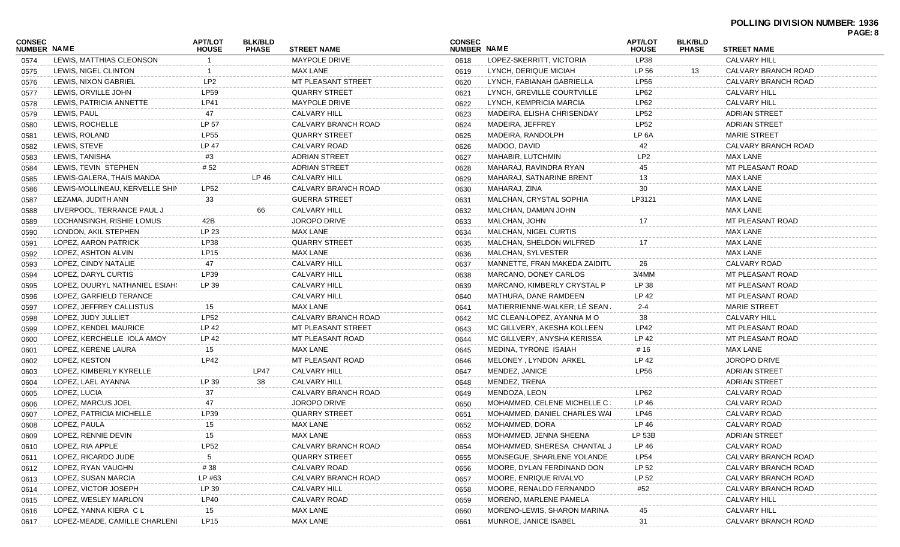| <b>CONSEC</b><br>NUMBER NAME |                                | <b>APT/LOT</b>  | <b>BLK/BLD</b><br><b>PHASE</b> | <b>STREET NAME</b>   | <b>CONSEC</b><br>NUMBER NAME |                               | <b>APT/LOT</b><br><b>HOUSE</b> | <b>BLK/BLD</b><br><b>PHASE</b> | <b>STREET NAME</b>      | PAGE: 8 |
|------------------------------|--------------------------------|-----------------|--------------------------------|----------------------|------------------------------|-------------------------------|--------------------------------|--------------------------------|-------------------------|---------|
| 0574                         | LEWIS, MATTHIAS CLEONSON       | <b>HOUSE</b>    |                                | <b>MAYPOLE DRIVE</b> | 0618                         | LOPEZ-SKERRITT, VICTORIA      | LP38                           |                                | <b>CALVARY HILL</b>     |         |
| 0575                         | LEWIS, NIGEL CLINTON           |                 |                                | <b>MAX LANE</b>      | 0619                         | LYNCH, DERIQUE MICIAH         | LP 56                          | 13                             | CALVARY BRANCH ROAD     |         |
| 0576                         | LEWIS, NIXON GABRIEL           | LP <sub>2</sub> |                                | MT PLEASANT STREET   | 0620                         | LYNCH, FABIANAH GABRIELLA     | <b>LP56</b>                    |                                | CALVARY BRANCH ROAD     |         |
| 0577                         | LEWIS, ORVILLE JOHN            | <b>LP59</b>     |                                | <b>QUARRY STREET</b> | 0621                         | LYNCH, GREVILLE COURTVILLE    | LP62                           |                                | <b>CALVARY HILL</b>     |         |
| 0578                         | LEWIS, PATRICIA ANNETTE        | LP41            |                                | <b>MAYPOLE DRIVE</b> | 0622                         | LYNCH, KEMPRICIA MARCIA       | LP62                           |                                | <b>CALVARY HILL</b>     |         |
| 0579                         | LEWIS, PAUL                    | 47              |                                | <b>CALVARY HILL</b>  | 0623                         | MADEIRA, ELISHA CHRISENDAY    | <b>LP52</b>                    |                                | ADRIAN STREET           |         |
| 0580                         | LEWIS, ROCHELLE                | LP 57           |                                | CALVARY BRANCH ROAD  | 0624                         | MADEIRA, JEFFREY              | <b>LP52</b>                    |                                | <b>ADRIAN STREET</b>    |         |
|                              | LEWIS, ROLAND                  | <b>LP55</b>     |                                | <b>QUARRY STREET</b> | 0625                         | MADEIRA, RANDOLPH             | LP 6A                          |                                | <b>MARIE STREET</b>     |         |
| 0581<br>0582                 | LEWIS, STEVE                   | <b>LP 47</b>    |                                | CALVARY ROAD         | 0626                         | MADOO, DAVID                  | 42                             |                                | CALVARY BRANCH ROAD     |         |
|                              | LEWIS, TANISHA                 | #3              |                                | <b>ADRIAN STREET</b> | 0627                         | MAHABIR, LUTCHMIN             | LP <sub>2</sub>                |                                | <b>MAX LANE</b>         |         |
| 0583                         | LEWIS, TEVIN STEPHEN           | #52             |                                | <b>ADRIAN STREET</b> |                              | MAHARAJ, RAVINDRA RYAN        | 45                             |                                | MT PLEASANT ROAD        |         |
| 0584                         | LEWIS-GALERA, THAIS MANDA      |                 | LP 46                          | <b>CALVARY HILL</b>  | 0628                         | MAHARAJ, SATNARINE BRENT      | 13                             |                                | <b>MAX LANE</b>         |         |
| 0585                         | LEWIS-MOLLINEAU, KERVELLE SHIN | <b>LP52</b>     |                                | CALVARY BRANCH ROAD  | 0629                         | MAHARAJ, ZINA                 | 30                             |                                | <b>MAX LANE</b>         |         |
| 0586                         | LEZAMA, JUDITH ANN             | 33              |                                | <b>GUERRA STREET</b> | 0630                         | MALCHAN, CRYSTAL SOPHIA       | LP3121                         |                                | <b>MAX LANE</b>         |         |
| 0587                         |                                |                 |                                |                      | 0631                         |                               |                                |                                | <b>MAX LANE</b>         |         |
| 0588                         | LIVERPOOL, TERRANCE PAUL J     |                 | 66                             | <b>CALVARY HILL</b>  | 0632                         | MALCHAN, DAMIAN JOHN          |                                |                                |                         |         |
| 0589                         | LOCHANSINGH, RISHIE LOMUS      | 42B             |                                | JOROPO DRIVE         | 0633                         | MALCHAN, JOHN                 | 17                             |                                | <b>MT PLEASANT ROAD</b> |         |
| 0590                         | LONDON, AKIL STEPHEN           | LP 23           |                                | <b>MAX LANE</b>      | 0634                         | MALCHAN, NIGEL CURTIS         |                                |                                | <b>MAX LANE</b>         |         |
| 0591                         | LOPEZ, AARON PATRICK           | LP38            |                                | <b>QUARRY STREET</b> | 0635                         | MALCHAN, SHELDON WILFRED      | 17                             |                                | <b>MAX LANE</b>         |         |
| 0592                         | LOPEZ, ASHTON ALVIN            | LP15            |                                | <b>MAX LANE</b>      | 0636                         | MALCHAN, SYLVESTER            |                                |                                | <b>MAX LANE</b>         |         |
| 0593                         | LOPEZ, CINDY NATALIE           | 47              |                                | <b>CALVARY HILL</b>  | 0637                         | MANNETTE, FRAN MAKEDA ZAIDITU | 26                             |                                | <b>CALVARY ROAD</b>     |         |
| 0594                         | LOPEZ, DARYL CURTIS            | LP39            |                                | <b>CALVARY HILL</b>  | 0638                         | MARCANO, DONEY CARLOS         | $3/4$ MM                       |                                | MT PLEASANT ROAD        |         |
| 0595                         | LOPEZ, DUURYL NATHANIEL ESIAH! | LP 39           |                                | <b>CALVARY HILL</b>  | 0639                         | MARCANO, KIMBERLY CRYSTAL P   | LP 38                          |                                | MT PLEASANT ROAD        |         |
| 0596                         | LOPEZ, GARFIELD TERANCE        |                 |                                | <b>CALVARY HILL</b>  | 0640                         | MATHURA, DANE RAMDEEN         | LP 42                          |                                | MT PLEASANT ROAD        |         |
| 0597                         | LOPEZ, JEFFREY CALLISTUS       | 15              |                                | <b>MAX LANE</b>      | 0641                         | MATIERRIENNE-WALKER, LE SEAN  | $2 - 4$                        |                                | <b>MARIE STREET</b>     |         |
| 0598                         | LOPEZ, JUDY JULLIET            | <b>LP52</b>     |                                | CALVARY BRANCH ROAD  | 0642                         | MC CLEAN-LOPEZ, AYANNA M O    | 38                             |                                | <b>CALVARY HILL</b>     |         |
| 0599                         | LOPEZ, KENDEL MAURICE          | LP 42           |                                | MT PLEASANT STREET   | 0643                         | MC GILLVERY, AKESHA KOLLEEN   | LP42                           |                                | MT PLEASANT ROAD        |         |
| 0600                         | LOPEZ, KERCHELLE IOLA AMOY     | LP 42           |                                | MT PLEASANT ROAD     | 0644                         | MC GILLVERY, ANYSHA KERISSA   | LP 42                          |                                | MT PLEASANT ROAD        |         |
| 0601                         | LOPEZ, KERENE LAURA            | 15              |                                | <b>MAX LANE</b>      | 0645                         | MEDINA, TYRONE ISAIAH         | #16                            |                                | <b>MAX LANE</b>         |         |
| 0602                         | LOPEZ, KESTON                  | LP42            |                                | MT PLEASANT ROAD     | 0646                         | MELONEY, LYNDON ARKEL         | LP 42                          |                                | <b>JOROPO DRIVE</b>     |         |
| 0603                         | LOPEZ, KIMBERLY KYRELLE        |                 | <b>LP47</b>                    | <b>CALVARY HILL</b>  | 0647                         | MENDEZ, JANICE                | <b>LP56</b>                    |                                | ADRIAN STREET           |         |
| 0604                         | LOPEZ, LAEL AYANNA             | LP 39           | 38                             | <b>CALVARY HILL</b>  | 0648                         | MENDEZ, TRENA                 |                                |                                | <b>ADRIAN STREET</b>    |         |
| 0605                         | LOPEZ, LUCIA                   | 37              |                                | CALVARY BRANCH ROAD  | 0649                         | MENDOZA, LEON                 | LP62                           |                                | CALVARY ROAD            |         |
| 0606                         | LOPEZ, MARCUS JOEL             | 47              |                                | <b>JOROPO DRIVE</b>  | 0650                         | MOHAMMED. CELENE MICHELLE C:  | LP 46                          |                                | CALVARY ROAD            |         |
| 0607                         | LOPEZ, PATRICIA MICHELLE       | LP39            |                                | <b>QUARRY STREET</b> | 0651                         | MOHAMMED, DANIEL CHARLES WAI  | LP46                           |                                | CALVARY ROAD            |         |
| 0608                         | LOPEZ, PAULA                   | 15              |                                | <b>MAX LANE</b>      | 0652                         | MOHAMMED, DORA                | LP 46                          |                                | CALVARY ROAD            |         |
| 0609                         | LOPEZ, RENNIE DEVIN            | 15              |                                | MAX LANE             | 0653                         | MOHAMMED, JENNA SHEENA        | LP 53B                         |                                | <b>ADRIAN STREET</b>    |         |
| 0610                         | LOPEZ, RIA APPLE               | LP52            |                                | CALVARY BRANCH ROAD  | 0654                         | MOHAMMED, SHERESA CHANTAL J   | LP 46                          |                                | CALVARY ROAD            |         |
| 0611                         | LOPEZ, RICARDO JUDE            | 5               |                                | <b>QUARRY STREET</b> | 0655                         | MONSEGUE, SHARLENE YOLANDE    | LP54                           |                                | CALVARY BRANCH ROAD     |         |
| 0612                         | LOPEZ, RYAN VAUGHN             | # 38            |                                | CALVARY ROAD         | 0656                         | MOORE, DYLAN FERDINAND DON    | LP 52                          |                                | CALVARY BRANCH ROAD     |         |
| 0613                         | LOPEZ, SUSAN MARCIA            | LP #63          |                                | CALVARY BRANCH ROAD  | 0657                         | MOORE, ENRIQUE RIVALVO        | LP 52                          |                                | CALVARY BRANCH ROAD     |         |
| 0614                         | LOPEZ, VICTOR JOSEPH           | LP 39           |                                | CALVARY HILL         | 0658                         | MOORE, RENALDO FERNANDO       | #52                            |                                | CALVARY BRANCH ROAD     |         |
| 0615                         | LOPEZ, WESLEY MARLON           | LP40            |                                | CALVARY ROAD         | 0659                         | MORENO, MARLENE PAMELA        |                                |                                | CALVARY HILL            |         |
| 0616                         | LOPEZ, YANNA KIERA C L         | 15              |                                | <b>MAX LANE</b>      | 0660                         | MORENO-LEWIS, SHARON MARINA   | 45                             |                                | CALVARY HILL            |         |
| 0617                         | LOPEZ-MEADE, CAMILLE CHARLENI  | <b>LP15</b>     |                                | <b>MAX LANE</b>      | 0661                         | MUNROE, JANICE ISABEL         | 31                             |                                | CALVARY BRANCH ROAD     |         |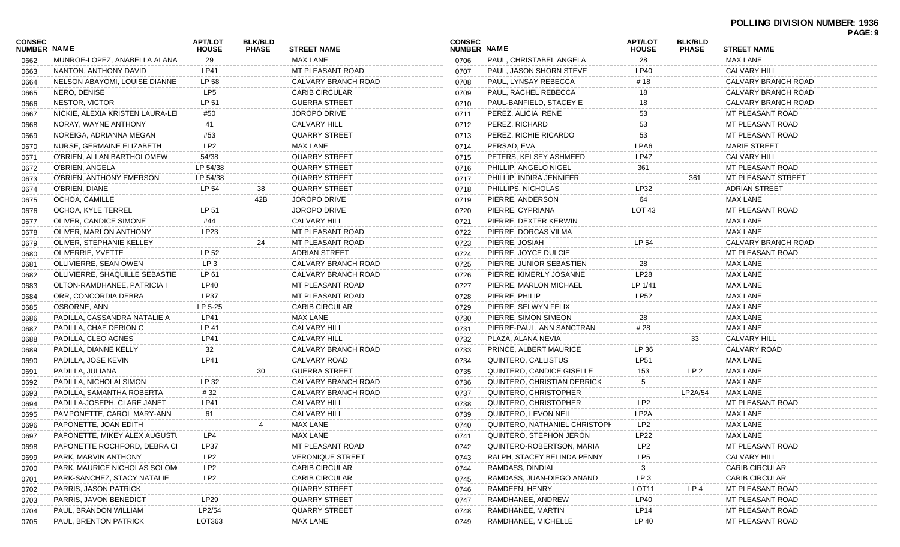|                              |                                  |                                |                                |                         |                                     |                               |                                |                                |                       | <u>FAGL.J</u> |
|------------------------------|----------------------------------|--------------------------------|--------------------------------|-------------------------|-------------------------------------|-------------------------------|--------------------------------|--------------------------------|-----------------------|---------------|
| CONSEC<br><b>NUMBER NAME</b> |                                  | <b>APT/LOT</b><br><b>HOUSE</b> | <b>BLK/BLD</b><br><b>PHASE</b> | <b>STREET NAME</b>      | <b>CONSEC</b><br><b>NUMBER NAME</b> |                               | <b>APT/LOT</b><br><b>HOUSE</b> | <b>BLK/BLD</b><br><b>PHASE</b> | <b>STREET NAME</b>    |               |
| 0662                         | MUNROE-LOPEZ, ANABELLA ALANA     | 29                             |                                | MAX LANE                | 0706                                | PAUL, CHRISTABEL ANGELA       | 28                             |                                | <b>MAX LANE</b>       |               |
| 0663                         | NANTON, ANTHONY DAVID            | <b>LP41</b>                    |                                | MT PLEASANT ROAD        | 0707                                | PAUL, JASON SHORN STEVE       | <b>LP40</b>                    |                                | <b>CALVARY HILL</b>   |               |
| 0664                         | NELSON ABAYOMI, LOUISE DIANNE    | LP 58                          |                                | CALVARY BRANCH ROAD     | 0708                                | PAUL, LYNSAY REBECCA          | # 18                           |                                | CALVARY BRANCH ROAD   |               |
| 0665                         | NERO, DENISE                     | LP5                            |                                | <b>CARIB CIRCULAR</b>   | 0709                                | PAUL, RACHEL REBECCA          | 18                             |                                | CALVARY BRANCH ROAD   |               |
| 0666                         | NESTOR, VICTOR                   | LP 51                          |                                | <b>GUERRA STREET</b>    | 0710                                | PAUL-BANFIELD, STACEY E       | 18                             |                                | CALVARY BRANCH ROAD   |               |
| 0667                         | NICKIE, ALEXIA KRISTEN LAURA-LEI | #50                            |                                | JOROPO DRIVE            | 0711                                | PEREZ, ALICIA RENE            | 53                             |                                | MT PLEASANT ROAD      |               |
| 0668                         | NORAY, WAYNE ANTHONY             | 41                             |                                | CALVARY HILL            | 0712                                | PEREZ, RICHARD                | 53                             |                                | MT PLEASANT ROAD      |               |
| 0669                         | NOREIGA, ADRIANNA MEGAN          | #53                            |                                | <b>QUARRY STREET</b>    | 0713                                | PEREZ, RICHIE RICARDO         | 53                             |                                | MT PLEASANT ROAD      |               |
| 0670                         | NURSE, GERMAINE ELIZABETH        | LP <sub>2</sub>                |                                | MAX LANE                | 0714                                | PERSAD, EVA                   | LPA6                           |                                | <b>MARIE STREET</b>   |               |
| 0671                         | O'BRIEN, ALLAN BARTHOLOMEW       | 54/38                          |                                | <b>QUARRY STREET</b>    | 0715                                | PETERS, KELSEY ASHMEED        | <b>LP47</b>                    |                                | <b>CALVARY HILL</b>   |               |
| 0672                         | O'BRIEN, ANGELA                  | LP 54/38                       |                                | QUARRY STREET           | 0716                                | PHILLIP, ANGELO NIGEL         | 361                            |                                | MT PLEASANT ROAD      |               |
| 0673                         | O'BRIEN, ANTHONY EMERSON         | LP 54/38                       |                                | <b>QUARRY STREET</b>    | 0717                                | PHILLIP, INDIRA JENNIFER      |                                | 361                            | MT PLEASANT STREET    |               |
| 0674                         | O'BRIEN, DIANE                   | LP 54                          | 38                             | <b>QUARRY STREET</b>    | 0718                                | PHILLIPS, NICHOLAS            | LP32                           |                                | <b>ADRIAN STREET</b>  |               |
| 0675                         | OCHOA, CAMILLE                   |                                | 42B                            | <b>JOROPO DRIVE</b>     | 0719                                | PIERRE, ANDERSON              | 64                             |                                | MAX LANE              |               |
| 0676                         | OCHOA, KYLE TERREL               | LP 51                          |                                | <b>JOROPO DRIVE</b>     | 0720                                | PIERRE, CYPRIANA              | LOT <sub>43</sub>              |                                | MT PLEASANT ROAD      |               |
| 0677                         | OLIVER, CANDICE SIMONE           | #44                            |                                | <b>CALVARY HILL</b>     | 0721                                | PIERRE, DEXTER KERWIN         |                                |                                | MAX LANE              |               |
| 0678                         | OLIVER, MARLON ANTHONY           | LP23                           |                                | MT PLEASANT ROAD        | 0722                                | PIERRE, DORCAS VILMA          |                                |                                | <b>MAX LANE</b>       |               |
| 0679                         | OLIVER, STEPHANIE KELLEY         |                                | 24                             | MT PLEASANT ROAD        | 0723                                | PIERRE, JOSIAH                | LP 54                          |                                | CALVARY BRANCH ROAD   |               |
| 0680                         | OLIVERRIE, YVETTE                | LP 52                          |                                | <b>ADRIAN STREET</b>    | 0724                                | PIERRE, JOYCE DULCIE          |                                |                                | MT PLEASANT ROAD      |               |
| 0681                         | OLLIVIERRE, SEAN OWEN            | LP 3                           |                                | CALVARY BRANCH ROAD     | 0725                                | PIERRE, JUNIOR SEBASTIEN      | 28                             |                                | MAX LANE              |               |
| 0682                         | OLLIVIERRE. SHAQUILLE SEBASTIE   | LP 61                          |                                | CALVARY BRANCH ROAD     | 0726                                | PIERRE, KIMERLY JOSANNE       | LP28                           |                                | <b>MAX LANE</b>       |               |
| 0683                         | OLTON-RAMDHANEE, PATRICIA I      | LP40                           |                                | MT PLEASANT ROAD        | 0727                                | PIERRE, MARLON MICHAEL        | LP 1/41                        |                                | MAX LANE              |               |
| 0684                         | ORR, CONCORDIA DEBRA             | LP37                           |                                | MT PLEASANT ROAD        | 0728                                | PIERRE, PHILIP                | <b>LP52</b>                    |                                | MAX LANE              |               |
| 0685                         | OSBORNE, ANN                     | LP 5-25                        |                                | <b>CARIB CIRCULAR</b>   | 0729                                | PIERRE, SELWYN FELIX          |                                |                                | MAX LANE              |               |
| 0686                         | PADILLA, CASSANDRA NATALIE A     | LP41                           |                                | MAX LANE                | 0730                                | PIERRE, SIMON SIMEON          | 28                             |                                | MAX LANE              |               |
| 0687                         | PADILLA, CHAE DERION C           | LP 41                          |                                | <b>CALVARY HILL</b>     | 0731                                | PIERRE-PAUL, ANN SANCTRAN     | # 28                           |                                | MAX LANE              |               |
| 0688                         | PADILLA, CLEO AGNES              | LP41                           |                                | <b>CALVARY HILL</b>     | 0732                                | PLAZA, ALANA NEVIA            |                                | 33                             | <b>CALVARY HILL</b>   |               |
| 0689                         | PADILLA, DIANNE KELLY            | 32                             |                                | CALVARY BRANCH ROAD     | 0733                                | PRINCE, ALBERT MAURICE        | LP 36                          |                                | CALVARY ROAD          |               |
| 0690                         | PADILLA, JOSE KEVIN              | <b>LP41</b>                    |                                | CALVARY ROAD            | 0734                                | QUINTERO, CALLISTUS           | LP51                           |                                | <b>MAX LANE</b>       |               |
| 0691                         | PADILLA, JULIANA                 |                                | 30                             | <b>GUERRA STREET</b>    | 0735                                | QUINTERO, CANDICE GISELLE     | 153                            | LP <sub>2</sub>                | MAX LANE              |               |
| 0692                         | PADILLA, NICHOLAI SIMON          | LP 32                          |                                | CALVARY BRANCH ROAD     | 0736                                | QUINTERO, CHRISTIAN DERRICK   | 5                              |                                | MAX LANE              |               |
| 0693                         | PADILLA, SAMANTHA ROBERTA        | # 32                           |                                | CALVARY BRANCH ROAD     | 0737                                | QUINTERO, CHRISTOPHER         |                                | LP2A/54                        | MAX LANE              |               |
| 0694                         | PADILLA-JOSEPH, CLARE JANET      | <b>LP41</b>                    |                                | CALVARY HILL            | 0738                                | QUINTERO, CHRISTOPHER         | LP <sub>2</sub>                |                                | MT PLEASANT ROAD      |               |
| 0695                         | PAMPONETTE, CAROL MARY-ANN       | 61                             |                                | CALVARY HILL            | 0739                                | QUINTERO, LEVON NEIL          | LP <sub>2</sub> A              |                                | MAX LANE              |               |
| 0696                         | PAPONETTE, JOAN EDITH            |                                |                                | <b>MAX LANE</b>         | 0740                                | QUINTERO, NATHANIEL CHRISTOPH | LP <sub>2</sub>                |                                | MAX LANE              |               |
| 0697                         | PAPONETTE, MIKEY ALEX AUGUSTI    | LP4                            |                                | MAX LANE                |                                     | 0741 QUINTERO, STEPHON JERON  | LP22                           |                                | MAX LANE              |               |
| 0698                         | PAPONETTE ROCHFORD, DEBRA CI     | LP37                           |                                | MT PLEASANT ROAD        | 0742                                | QUINTERO-ROBERTSON, MARIA     | LP <sub>2</sub>                |                                | MT PLEASANT ROAD      |               |
| 0699                         | PARK, MARVIN ANTHONY             | LP2                            |                                | <b>VERONIQUE STREET</b> | 0743                                | RALPH, STACEY BELINDA PENNY   | LP5                            |                                | <b>CALVARY HILL</b>   |               |
| 0700                         | PARK, MAURICE NICHOLAS SOLOM     | LP2                            |                                | <b>CARIB CIRCULAR</b>   | 0744                                | RAMDASS, DINDIAL              |                                |                                | <b>CARIB CIRCULAR</b> |               |
| 0701                         | PARK-SANCHEZ, STACY NATALIE      | LP <sub>2</sub>                |                                | <b>CARIB CIRCULAR</b>   | 0745                                | RAMDASS, JUAN-DIEGO ANAND     | LP <sub>3</sub>                |                                | <b>CARIB CIRCULAR</b> |               |
| 0702                         | PARRIS, JASON PATRICK            |                                |                                | <b>QUARRY STREET</b>    | 0746                                | RAMDEEN, HENRY                | LOT <sub>11</sub>              | LP 4                           | MT PLEASANT ROAD      |               |
| 0703                         | PARRIS, JAVON BENEDICT           | LP <sub>29</sub>               |                                | QUARRY STREET           | 0747                                | RAMDHANEE, ANDREW             | <b>LP40</b>                    |                                | MT PLEASANT ROAD      |               |
| 0704                         | PAUL, BRANDON WILLIAM            | LP2/54                         |                                | QUARRY STREET           | 0748                                | RAMDHANEE, MARTIN             | <b>LP14</b>                    |                                | MT PLEASANT ROAD      |               |
| 0705                         | PAUL, BRENTON PATRICK            | LOT363                         |                                | MAX LANE                | 0749                                | RAMDHANEE, MICHELLE           | LP 40                          |                                | MT PLEASANT ROAD      |               |
|                              |                                  |                                |                                |                         |                                     |                               |                                |                                |                       |               |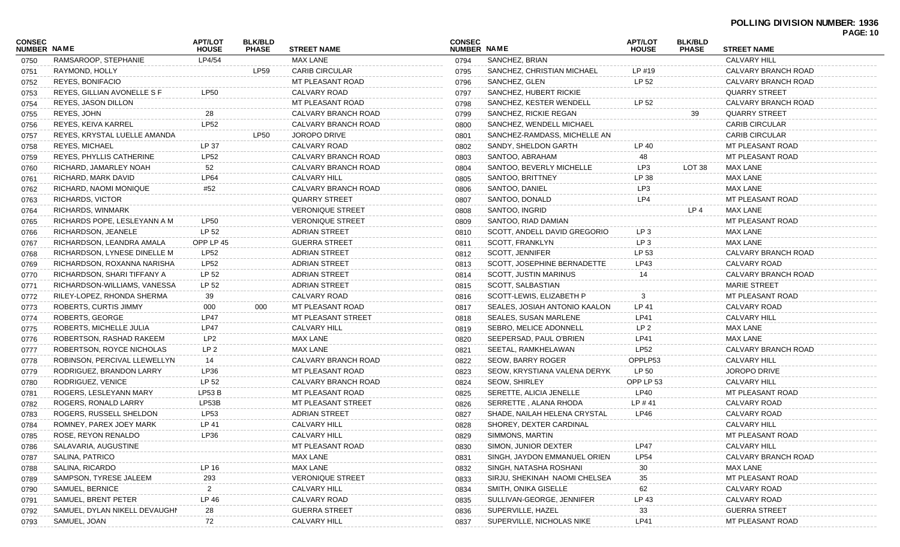| <b>CONSEC</b><br><b>NUMBER NAME</b> |                               | <b>APT/LOT</b><br><b>HOUSE</b> | <b>BLK/BLD</b><br><b>PHASE</b> | <b>STREET NAME</b>        | <b>CONSEC</b><br><b>NUMBER NAME</b> |                               | <b>APT/LOT</b><br><b>HOUSE</b> | <b>BLK/BLD</b><br><b>PHASE</b> | <b>STREET NAME</b>    |  |
|-------------------------------------|-------------------------------|--------------------------------|--------------------------------|---------------------------|-------------------------------------|-------------------------------|--------------------------------|--------------------------------|-----------------------|--|
| 0750                                | RAMSAROOP, STEPHANIE          | LP4/54                         |                                | MAX LANE                  | 0794                                | SANCHEZ, BRIAN                |                                |                                | <b>CALVARY HILL</b>   |  |
| 0751                                | RAYMOND, HOLLY                |                                | <b>LP59</b>                    | <b>CARIB CIRCULAR</b>     | 0795                                | SANCHEZ, CHRISTIAN MICHAEL    | $LP$ #19                       |                                | CALVARY BRANCH ROAD   |  |
| 0752                                | REYES, BONIFACIO              |                                |                                | MT PLEASANT ROAD          | 0796                                | SANCHEZ, GLEN                 | LP 52                          |                                | CALVARY BRANCH ROAD   |  |
| 0753                                | REYES, GILLIAN AVONELLE S F   | <b>LP50</b>                    |                                | CALVARY ROAD              | 0797                                | SANCHEZ, HUBERT RICKIE        |                                |                                | <b>QUARRY STREET</b>  |  |
| 0754                                | REYES, JASON DILLON           |                                |                                | MT PLEASANT ROAD          | 0798                                | SANCHEZ, KESTER WENDELL       | LP 52                          |                                | CALVARY BRANCH ROAD   |  |
| 0755                                | REYES, JOHN                   | 28                             |                                | CALVARY BRANCH ROAD       | 0799                                | SANCHEZ, RICKIE REGAN         |                                | 39                             | <b>QUARRY STREET</b>  |  |
| 0756                                | <b>REYES, KEIVA KARREL</b>    | <b>LP52</b>                    |                                | CALVARY BRANCH ROAD       | 0800                                | SANCHEZ. WENDELL MICHAEL      |                                |                                | <b>CARIB CIRCULAR</b> |  |
| 0757                                | REYES, KRYSTAL LUELLE AMANDA  |                                | <b>LP50</b>                    | <b>JOROPO DRIVE</b>       | 0801                                | SANCHEZ-RAMDASS, MICHELLE AN  |                                |                                | <b>CARIB CIRCULAR</b> |  |
| 0758                                | <b>REYES, MICHAEL</b>         | LP 37                          |                                | CALVARY ROAD              | 0802                                | SANDY, SHELDON GARTH          | LP 40                          |                                | MT PLEASANT ROAD      |  |
| 0759                                | REYES, PHYLLIS CATHERINE      | LP52                           |                                | CALVARY BRANCH ROAD       | 0803                                | SANTOO, ABRAHAM               | 48                             |                                | MT PLEASANT ROAD      |  |
| 0760                                | RICHARD, JAMARLEY NOAH        | 52                             |                                | CALVARY BRANCH ROAD       | 0804                                | SANTOO, BEVERLY MICHELLE      | LP3                            | LOT 38                         | MAX LANE              |  |
| 0761                                | RICHARD, MARK DAVID           | LP64                           |                                | <b>CALVARY HILL</b>       | 0805                                | SANTOO, BRITTNEY              | LP 38                          |                                | <b>MAX LANE</b>       |  |
| 0762                                | RICHARD, NAOMI MONIQUE        | #52                            |                                | CALVARY BRANCH ROAD       | 0806                                | SANTOO, DANIEL                | LP3                            |                                | <b>MAX LANE</b>       |  |
| 0763                                | RICHARDS, VICTOR              |                                |                                | <b>QUARRY STREET</b>      | 0807                                | SANTOO, DONALD                | LP4                            |                                | MT PLEASANT ROAD      |  |
| 0764                                | RICHARDS, WINMARK             |                                |                                | <b>VERONIQUE STREET</b>   | 0808                                | SANTOO, INGRID                |                                | LP <sub>4</sub>                | MAX LANE              |  |
| 0765                                | RICHARDS POPE, LESLEYANN A M  | LP50                           |                                | <b>VERONIQUE STREET</b>   | 0809                                | SANTOO, RIAD DAMIAN           |                                |                                | MT PLEASANT ROAD      |  |
| 0766                                | RICHARDSON, JEANELE           | LP 52                          |                                | <b>ADRIAN STREET</b>      | 0810                                | SCOTT, ANDELL DAVID GREGORIO  | LP <sub>3</sub>                |                                | MAX LANE              |  |
| 0767                                | RICHARDSON, LEANDRA AMALA     | OPP LP 45                      |                                | <b>GUERRA STREET</b>      | 0811                                | SCOTT, FRANKLYN               | LP <sub>3</sub>                |                                | <b>MAX LANE</b>       |  |
| 0768                                | RICHARDSON, LYNESE DINELLE M  | LP52                           |                                | <b>ADRIAN STREET</b>      | 0812                                | SCOTT, JENNIFER               | LP 53                          |                                | CALVARY BRANCH ROAD   |  |
| 0769                                | RICHARDSON, ROXANNA NARISHA   | <b>LP52</b>                    |                                | <b>ADRIAN STREET</b>      | 0813                                | SCOTT. JOSEPHINE BERNADETTE   | LP43                           |                                | CALVARY ROAD          |  |
| 0770                                | RICHARDSON, SHARI TIFFANY A   | LP 52                          |                                | <b>ADRIAN STREET</b>      | 0814                                | <b>SCOTT, JUSTIN MARINUS</b>  |                                |                                | CALVARY BRANCH ROAD   |  |
| 0771                                | RICHARDSON-WILLIAMS, VANESSA  | LP 52                          |                                | <b>ADRIAN STREET</b>      | 0815                                | SCOTT, SALBASTIAN             |                                |                                | <b>MARIE STREET</b>   |  |
| 0772                                | RILEY-LOPEZ, RHONDA SHERMA    | 39                             |                                | CALVARY ROAD              | 0816                                | SCOTT-LEWIS, ELIZABETH P      | 3                              |                                | MT PLEASANT ROAD      |  |
| 0773                                | ROBERTS, CURTIS JIMMY         | 000                            | 000                            | MT PLEASANT ROAD          | 0817                                | SEALES, JOSIAH ANTONIO KAALON | LP 41                          |                                | CALVARY ROAD          |  |
| 0774                                | ROBERTS, GEORGE               | <b>LP47</b>                    |                                | MT PLEASANT STREET        | 0818                                | <b>SEALES, SUSAN MARLENE</b>  | LP41                           |                                | <b>CALVARY HILL</b>   |  |
| 0775                                | ROBERTS, MICHELLE JULIA       | <b>LP47</b>                    |                                | <b>CALVARY HILL</b>       | 0819                                | SEBRO, MELICE ADONNELL        | LP <sub>2</sub>                |                                | <b>MAX LANE</b>       |  |
| 0776                                | ROBERTSON, RASHAD RAKEEM      | LP <sub>2</sub>                |                                | MAX LANE                  | 0820                                | SEEPERSAD, PAUL O'BRIEN       | LP41                           |                                | <b>MAX LANE</b>       |  |
| 0777                                | ROBERTSON, ROYCE NICHOLAS     | LP <sub>2</sub>                |                                | <b>MAX LANE</b>           | 0821                                | SEETAL, RAMKHELAWAN           | <b>LP52</b>                    |                                | CALVARY BRANCH ROAD   |  |
| 0778                                | ROBINSON, PERCIVAL LLEWELLYN  | 14                             |                                | CALVARY BRANCH ROAD       | 0822                                | SEOW, BARRY ROGER             | OPPLP53                        |                                | <b>CALVARY HILL</b>   |  |
| 0779                                | RODRIGUEZ, BRANDON LARRY      | LP36                           |                                | MT PLEASANT ROAD          | 0823                                | SEOW, KRYSTIANA VALENA DERYK. | LP 50                          |                                | <b>JOROPO DRIVE</b>   |  |
| 0780                                | RODRIGUEZ, VENICE             | LP 52                          |                                | CALVARY BRANCH ROAD       | 0824                                | <b>SEOW, SHIRLEY</b>          | OPP LP 53                      |                                | <b>CALVARY HILL</b>   |  |
| 0781                                | ROGERS, LESLEYANN MARY        | <b>LP53 B</b>                  |                                | MT PLEASANT ROAD          | 0825                                | SERETTE, ALICIA JENELLE       | <b>LP40</b>                    |                                | MT PLEASANT ROAD      |  |
| 0782                                | ROGERS, RONALD LARRY          | LP53B                          |                                | <b>MT PLEASANT STREET</b> | 0826                                | SERRETTE, ALANA RHODA         | LP #41                         |                                | CALVARY ROAD          |  |
| 0783                                | ROGERS, RUSSELL SHELDON       | LP53                           |                                | <b>ADRIAN STREET</b>      | 0827                                | SHADE, NAILAH HELENA CRYSTAL  | LP46                           |                                | CALVARY ROAD          |  |
| 0784                                | ROMNEY, PAREX JOEY MARK       | LP 41                          |                                | <b>CALVARY HILL</b>       | 0828                                | SHOREY, DEXTER CARDINAL       |                                |                                | <b>CALVARY HILL</b>   |  |
| 0785                                | ROSE, REYON RENALDO           | LP36                           |                                | CALVARY HILL              | 0829                                | SIMMONS, MARTIN               |                                |                                | MT PLEASANT ROAD      |  |
| 0786                                | SALAVARIA, AUGUSTINE          |                                |                                | MT PLEASANT ROAD          | 0830                                | SIMON, JUNIOR DEXTER          | <b>LP47</b>                    |                                | <b>CALVARY HILL</b>   |  |
| 0787                                | SALINA, PATRICO               |                                |                                | MAX LANE                  | 0831                                | SINGH, JAYDON EMMANUEL ORIEN  | LP54                           |                                | CALVARY BRANCH ROAD   |  |
| 0788                                | SALINA, RICARDO               | LP 16                          |                                | MAX LANE                  | 0832                                | SINGH, NATASHA ROSHANI        | 30                             |                                | <b>MAX LANE</b>       |  |
| 0789                                | SAMPSON, TYRESE JALEEM        | 293                            |                                | <b>VERONIQUE STREET</b>   | 0833                                | SIRJU, SHEKINAH NAOMI CHELSEA | 35                             |                                | MT PLEASANT ROAD      |  |
| 0790                                | SAMUEL, BERNICE               | $\mathbf{2}$                   |                                | <b>CALVARY HILL</b>       | 0834                                | SMITH, ONIKA GISELLE          | 62                             |                                | CALVARY ROAD          |  |
| 0791                                | SAMUEL, BRENT PETER           | LP 46                          |                                | <b>CALVARY ROAD</b>       | 0835                                | SULLIVAN-GEORGE, JENNIFER     | LP 43                          |                                | CALVARY ROAD          |  |
| 0792                                | SAMUEL, DYLAN NIKELL DEVAUGHN | 28                             |                                | <b>GUERRA STREET</b>      | 0836                                | SUPERVILLE, HAZEL             | 33                             |                                | <b>GUERRA STREET</b>  |  |
| 0793                                | SAMUEL, JOAN                  | 72                             |                                | <b>CALVARY HILL</b>       | 0837                                | SUPERVILLE, NICHOLAS NIKE     | <b>LP41</b>                    |                                | MT PLEASANT ROAD      |  |
|                                     |                               |                                |                                |                           |                                     |                               |                                |                                |                       |  |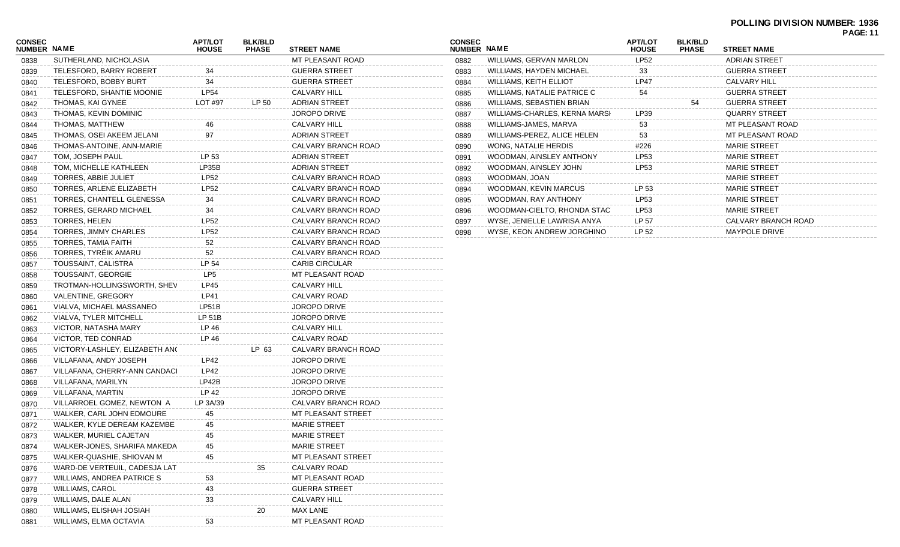## **POLLING DIVISION NUMBER: 1936**

| MT PLEASANT ROAD<br>SUTHERLAND, NICHOLASIA<br>0838<br>34<br><b>GUERRA STREET</b><br>TELESFORD, BARRY ROBERT<br>0839<br>34<br><b>GUERRA STREET</b><br>TELESFORD, BOBBY BURT<br>0840<br><b>LP54</b><br><b>CALVARY HILL</b><br>TELESFORD, SHANTIE MOONIE<br>0841<br>LP 50<br>THOMAS, KAI GYNEE<br>LOT #97<br><b>ADRIAN STREET</b><br>0842<br>THOMAS, KEVIN DOMINIC<br><b>JOROPO DRIVE</b><br>0843<br>46<br>THOMAS, MATTHEW<br>CALVARY HILL<br>0844<br>97<br><b>ADRIAN STREET</b><br>THOMAS, OSEI AKEEM JELANI<br>0845<br>CALVARY BRANCH ROAD<br>THOMAS-ANTOINE, ANN-MARIE<br>0846<br>LP 53<br>TOM, JOSEPH PAUL<br><b>ADRIAN STREET</b><br>0847<br>TOM, MICHELLE KATHLEEN<br>LP35B<br><b>ADRIAN STREET</b><br>0848<br>LP52<br>TORRES, ABBIE JULIET<br>CALVARY BRANCH ROAD<br>0849<br>LP52<br>CALVARY BRANCH ROAD<br>TORRES, ARLENE ELIZABETH<br>0850<br>34<br>CALVARY BRANCH ROAD<br>TORRES, CHANTELL GLENESSA<br>0851<br>34<br>CALVARY BRANCH ROAD<br>TORRES, GERARD MICHAEL<br>0852<br><b>LP52</b><br>CALVARY BRANCH ROAD<br>TORRES, HELEN<br>0853<br>LP52<br>CALVARY BRANCH ROAD<br>TORRES, JIMMY CHARLES<br>0854<br>TORRES, TAMIA FAITH<br>52<br>CALVARY BRANCH ROAD<br>0855<br>TORRES, TYREIK AMARU<br>52<br>CALVARY BRANCH ROAD<br>0856<br>TOUSSAINT, CALISTRA<br>LP 54<br><b>CARIB CIRCULAR</b><br>0857<br>TOUSSAINT, GEORGIE<br>LP5<br>MT PLEASANT ROAD<br>0858<br>LP45<br>CALVARY HILL<br>TROTMAN-HOLLINGSWORTH, SHEV<br>0859<br>LP41<br>VALENTINE, GREGORY<br>CALVARY ROAD<br>0860<br>LP51B<br>VIALVA, MICHAEL MASSANEO<br><b>JOROPO DRIVE</b><br>0861<br>LP 51B<br>VIALVA, TYLER MITCHELL<br><b>JOROPO DRIVE</b><br>0862<br>LP 46<br>VICTOR, NATASHA MARY<br>CALVARY HILL<br>0863<br>LP 46<br>CALVARY ROAD<br>VICTOR, TED CONRAD<br>0864<br>LP 63<br>CALVARY BRANCH ROAD<br>VICTORY-LASHLEY, ELIZABETH ANC<br>0865<br>LP42<br><b>JOROPO DRIVE</b><br>VILLAFANA, ANDY JOSEPH<br>0866<br>LP42<br>VILLAFANA, CHERRY-ANN CANDACI<br><b>JOROPO DRIVE</b><br>0867<br>LP42B<br>VILLAFANA, MARILYN<br><b>JOROPO DRIVE</b><br>0868 | 0882<br>0883<br>0884<br>0885<br>0886<br>0887<br>0888<br>0889<br>0890<br>0891<br>0892<br>0893<br>0894<br>0895 |
|----------------------------------------------------------------------------------------------------------------------------------------------------------------------------------------------------------------------------------------------------------------------------------------------------------------------------------------------------------------------------------------------------------------------------------------------------------------------------------------------------------------------------------------------------------------------------------------------------------------------------------------------------------------------------------------------------------------------------------------------------------------------------------------------------------------------------------------------------------------------------------------------------------------------------------------------------------------------------------------------------------------------------------------------------------------------------------------------------------------------------------------------------------------------------------------------------------------------------------------------------------------------------------------------------------------------------------------------------------------------------------------------------------------------------------------------------------------------------------------------------------------------------------------------------------------------------------------------------------------------------------------------------------------------------------------------------------------------------------------------------------------------------------------------------------------------------------------------------------------------------------------------------------------------------------------------------------------------------------------------------------------------------------|--------------------------------------------------------------------------------------------------------------|
|                                                                                                                                                                                                                                                                                                                                                                                                                                                                                                                                                                                                                                                                                                                                                                                                                                                                                                                                                                                                                                                                                                                                                                                                                                                                                                                                                                                                                                                                                                                                                                                                                                                                                                                                                                                                                                                                                                                                                                                                                                  |                                                                                                              |
|                                                                                                                                                                                                                                                                                                                                                                                                                                                                                                                                                                                                                                                                                                                                                                                                                                                                                                                                                                                                                                                                                                                                                                                                                                                                                                                                                                                                                                                                                                                                                                                                                                                                                                                                                                                                                                                                                                                                                                                                                                  |                                                                                                              |
|                                                                                                                                                                                                                                                                                                                                                                                                                                                                                                                                                                                                                                                                                                                                                                                                                                                                                                                                                                                                                                                                                                                                                                                                                                                                                                                                                                                                                                                                                                                                                                                                                                                                                                                                                                                                                                                                                                                                                                                                                                  |                                                                                                              |
|                                                                                                                                                                                                                                                                                                                                                                                                                                                                                                                                                                                                                                                                                                                                                                                                                                                                                                                                                                                                                                                                                                                                                                                                                                                                                                                                                                                                                                                                                                                                                                                                                                                                                                                                                                                                                                                                                                                                                                                                                                  |                                                                                                              |
|                                                                                                                                                                                                                                                                                                                                                                                                                                                                                                                                                                                                                                                                                                                                                                                                                                                                                                                                                                                                                                                                                                                                                                                                                                                                                                                                                                                                                                                                                                                                                                                                                                                                                                                                                                                                                                                                                                                                                                                                                                  |                                                                                                              |
|                                                                                                                                                                                                                                                                                                                                                                                                                                                                                                                                                                                                                                                                                                                                                                                                                                                                                                                                                                                                                                                                                                                                                                                                                                                                                                                                                                                                                                                                                                                                                                                                                                                                                                                                                                                                                                                                                                                                                                                                                                  |                                                                                                              |
|                                                                                                                                                                                                                                                                                                                                                                                                                                                                                                                                                                                                                                                                                                                                                                                                                                                                                                                                                                                                                                                                                                                                                                                                                                                                                                                                                                                                                                                                                                                                                                                                                                                                                                                                                                                                                                                                                                                                                                                                                                  |                                                                                                              |
|                                                                                                                                                                                                                                                                                                                                                                                                                                                                                                                                                                                                                                                                                                                                                                                                                                                                                                                                                                                                                                                                                                                                                                                                                                                                                                                                                                                                                                                                                                                                                                                                                                                                                                                                                                                                                                                                                                                                                                                                                                  |                                                                                                              |
|                                                                                                                                                                                                                                                                                                                                                                                                                                                                                                                                                                                                                                                                                                                                                                                                                                                                                                                                                                                                                                                                                                                                                                                                                                                                                                                                                                                                                                                                                                                                                                                                                                                                                                                                                                                                                                                                                                                                                                                                                                  |                                                                                                              |
|                                                                                                                                                                                                                                                                                                                                                                                                                                                                                                                                                                                                                                                                                                                                                                                                                                                                                                                                                                                                                                                                                                                                                                                                                                                                                                                                                                                                                                                                                                                                                                                                                                                                                                                                                                                                                                                                                                                                                                                                                                  |                                                                                                              |
|                                                                                                                                                                                                                                                                                                                                                                                                                                                                                                                                                                                                                                                                                                                                                                                                                                                                                                                                                                                                                                                                                                                                                                                                                                                                                                                                                                                                                                                                                                                                                                                                                                                                                                                                                                                                                                                                                                                                                                                                                                  |                                                                                                              |
|                                                                                                                                                                                                                                                                                                                                                                                                                                                                                                                                                                                                                                                                                                                                                                                                                                                                                                                                                                                                                                                                                                                                                                                                                                                                                                                                                                                                                                                                                                                                                                                                                                                                                                                                                                                                                                                                                                                                                                                                                                  |                                                                                                              |
|                                                                                                                                                                                                                                                                                                                                                                                                                                                                                                                                                                                                                                                                                                                                                                                                                                                                                                                                                                                                                                                                                                                                                                                                                                                                                                                                                                                                                                                                                                                                                                                                                                                                                                                                                                                                                                                                                                                                                                                                                                  |                                                                                                              |
|                                                                                                                                                                                                                                                                                                                                                                                                                                                                                                                                                                                                                                                                                                                                                                                                                                                                                                                                                                                                                                                                                                                                                                                                                                                                                                                                                                                                                                                                                                                                                                                                                                                                                                                                                                                                                                                                                                                                                                                                                                  |                                                                                                              |
|                                                                                                                                                                                                                                                                                                                                                                                                                                                                                                                                                                                                                                                                                                                                                                                                                                                                                                                                                                                                                                                                                                                                                                                                                                                                                                                                                                                                                                                                                                                                                                                                                                                                                                                                                                                                                                                                                                                                                                                                                                  | 0896                                                                                                         |
|                                                                                                                                                                                                                                                                                                                                                                                                                                                                                                                                                                                                                                                                                                                                                                                                                                                                                                                                                                                                                                                                                                                                                                                                                                                                                                                                                                                                                                                                                                                                                                                                                                                                                                                                                                                                                                                                                                                                                                                                                                  | 0897                                                                                                         |
|                                                                                                                                                                                                                                                                                                                                                                                                                                                                                                                                                                                                                                                                                                                                                                                                                                                                                                                                                                                                                                                                                                                                                                                                                                                                                                                                                                                                                                                                                                                                                                                                                                                                                                                                                                                                                                                                                                                                                                                                                                  | 0898                                                                                                         |
|                                                                                                                                                                                                                                                                                                                                                                                                                                                                                                                                                                                                                                                                                                                                                                                                                                                                                                                                                                                                                                                                                                                                                                                                                                                                                                                                                                                                                                                                                                                                                                                                                                                                                                                                                                                                                                                                                                                                                                                                                                  |                                                                                                              |
|                                                                                                                                                                                                                                                                                                                                                                                                                                                                                                                                                                                                                                                                                                                                                                                                                                                                                                                                                                                                                                                                                                                                                                                                                                                                                                                                                                                                                                                                                                                                                                                                                                                                                                                                                                                                                                                                                                                                                                                                                                  |                                                                                                              |
|                                                                                                                                                                                                                                                                                                                                                                                                                                                                                                                                                                                                                                                                                                                                                                                                                                                                                                                                                                                                                                                                                                                                                                                                                                                                                                                                                                                                                                                                                                                                                                                                                                                                                                                                                                                                                                                                                                                                                                                                                                  |                                                                                                              |
|                                                                                                                                                                                                                                                                                                                                                                                                                                                                                                                                                                                                                                                                                                                                                                                                                                                                                                                                                                                                                                                                                                                                                                                                                                                                                                                                                                                                                                                                                                                                                                                                                                                                                                                                                                                                                                                                                                                                                                                                                                  |                                                                                                              |
|                                                                                                                                                                                                                                                                                                                                                                                                                                                                                                                                                                                                                                                                                                                                                                                                                                                                                                                                                                                                                                                                                                                                                                                                                                                                                                                                                                                                                                                                                                                                                                                                                                                                                                                                                                                                                                                                                                                                                                                                                                  |                                                                                                              |
|                                                                                                                                                                                                                                                                                                                                                                                                                                                                                                                                                                                                                                                                                                                                                                                                                                                                                                                                                                                                                                                                                                                                                                                                                                                                                                                                                                                                                                                                                                                                                                                                                                                                                                                                                                                                                                                                                                                                                                                                                                  |                                                                                                              |
|                                                                                                                                                                                                                                                                                                                                                                                                                                                                                                                                                                                                                                                                                                                                                                                                                                                                                                                                                                                                                                                                                                                                                                                                                                                                                                                                                                                                                                                                                                                                                                                                                                                                                                                                                                                                                                                                                                                                                                                                                                  |                                                                                                              |
|                                                                                                                                                                                                                                                                                                                                                                                                                                                                                                                                                                                                                                                                                                                                                                                                                                                                                                                                                                                                                                                                                                                                                                                                                                                                                                                                                                                                                                                                                                                                                                                                                                                                                                                                                                                                                                                                                                                                                                                                                                  |                                                                                                              |
|                                                                                                                                                                                                                                                                                                                                                                                                                                                                                                                                                                                                                                                                                                                                                                                                                                                                                                                                                                                                                                                                                                                                                                                                                                                                                                                                                                                                                                                                                                                                                                                                                                                                                                                                                                                                                                                                                                                                                                                                                                  |                                                                                                              |
|                                                                                                                                                                                                                                                                                                                                                                                                                                                                                                                                                                                                                                                                                                                                                                                                                                                                                                                                                                                                                                                                                                                                                                                                                                                                                                                                                                                                                                                                                                                                                                                                                                                                                                                                                                                                                                                                                                                                                                                                                                  |                                                                                                              |
|                                                                                                                                                                                                                                                                                                                                                                                                                                                                                                                                                                                                                                                                                                                                                                                                                                                                                                                                                                                                                                                                                                                                                                                                                                                                                                                                                                                                                                                                                                                                                                                                                                                                                                                                                                                                                                                                                                                                                                                                                                  |                                                                                                              |
|                                                                                                                                                                                                                                                                                                                                                                                                                                                                                                                                                                                                                                                                                                                                                                                                                                                                                                                                                                                                                                                                                                                                                                                                                                                                                                                                                                                                                                                                                                                                                                                                                                                                                                                                                                                                                                                                                                                                                                                                                                  |                                                                                                              |
|                                                                                                                                                                                                                                                                                                                                                                                                                                                                                                                                                                                                                                                                                                                                                                                                                                                                                                                                                                                                                                                                                                                                                                                                                                                                                                                                                                                                                                                                                                                                                                                                                                                                                                                                                                                                                                                                                                                                                                                                                                  |                                                                                                              |
|                                                                                                                                                                                                                                                                                                                                                                                                                                                                                                                                                                                                                                                                                                                                                                                                                                                                                                                                                                                                                                                                                                                                                                                                                                                                                                                                                                                                                                                                                                                                                                                                                                                                                                                                                                                                                                                                                                                                                                                                                                  |                                                                                                              |
| LP 42<br>VILLAFANA, MARTIN<br><b>JOROPO DRIVE</b><br>0869                                                                                                                                                                                                                                                                                                                                                                                                                                                                                                                                                                                                                                                                                                                                                                                                                                                                                                                                                                                                                                                                                                                                                                                                                                                                                                                                                                                                                                                                                                                                                                                                                                                                                                                                                                                                                                                                                                                                                                        |                                                                                                              |
| LP 3A/39<br>CALVARY BRANCH ROAD<br>VILLARROEL GOMEZ, NEWTON A<br>0870                                                                                                                                                                                                                                                                                                                                                                                                                                                                                                                                                                                                                                                                                                                                                                                                                                                                                                                                                                                                                                                                                                                                                                                                                                                                                                                                                                                                                                                                                                                                                                                                                                                                                                                                                                                                                                                                                                                                                            |                                                                                                              |
| 45<br>WALKER, CARL JOHN EDMOURE<br>MT PLEASANT STREET<br>0871                                                                                                                                                                                                                                                                                                                                                                                                                                                                                                                                                                                                                                                                                                                                                                                                                                                                                                                                                                                                                                                                                                                                                                                                                                                                                                                                                                                                                                                                                                                                                                                                                                                                                                                                                                                                                                                                                                                                                                    |                                                                                                              |
| 45<br><b>MARIE STREET</b><br>WALKER, KYLE DEREAM KAZEMBE<br>0872                                                                                                                                                                                                                                                                                                                                                                                                                                                                                                                                                                                                                                                                                                                                                                                                                                                                                                                                                                                                                                                                                                                                                                                                                                                                                                                                                                                                                                                                                                                                                                                                                                                                                                                                                                                                                                                                                                                                                                 |                                                                                                              |
| 45<br>WALKER, MURIEL CAJETAN<br><b>MARIE STREET</b><br>0873                                                                                                                                                                                                                                                                                                                                                                                                                                                                                                                                                                                                                                                                                                                                                                                                                                                                                                                                                                                                                                                                                                                                                                                                                                                                                                                                                                                                                                                                                                                                                                                                                                                                                                                                                                                                                                                                                                                                                                      |                                                                                                              |
| WALKER-JONES, SHARIFA MAKEDA<br><b>MARIE STREET</b><br>45<br>0874                                                                                                                                                                                                                                                                                                                                                                                                                                                                                                                                                                                                                                                                                                                                                                                                                                                                                                                                                                                                                                                                                                                                                                                                                                                                                                                                                                                                                                                                                                                                                                                                                                                                                                                                                                                                                                                                                                                                                                |                                                                                                              |
| WALKER-QUASHIE, SHIOVAN M<br>MT PLEASANT STREET<br>45<br>0875                                                                                                                                                                                                                                                                                                                                                                                                                                                                                                                                                                                                                                                                                                                                                                                                                                                                                                                                                                                                                                                                                                                                                                                                                                                                                                                                                                                                                                                                                                                                                                                                                                                                                                                                                                                                                                                                                                                                                                    |                                                                                                              |
| 35<br>CALVARY ROAD<br>WARD-DE VERTEUIL, CADESJA LAT<br>0876                                                                                                                                                                                                                                                                                                                                                                                                                                                                                                                                                                                                                                                                                                                                                                                                                                                                                                                                                                                                                                                                                                                                                                                                                                                                                                                                                                                                                                                                                                                                                                                                                                                                                                                                                                                                                                                                                                                                                                      |                                                                                                              |
| MT PLEASANT ROAD<br>WILLIAMS, ANDREA PATRICE S<br>53<br>0877                                                                                                                                                                                                                                                                                                                                                                                                                                                                                                                                                                                                                                                                                                                                                                                                                                                                                                                                                                                                                                                                                                                                                                                                                                                                                                                                                                                                                                                                                                                                                                                                                                                                                                                                                                                                                                                                                                                                                                     |                                                                                                              |
| 43<br><b>GUERRA STREET</b><br><b>WILLIAMS, CAROL</b><br>0878                                                                                                                                                                                                                                                                                                                                                                                                                                                                                                                                                                                                                                                                                                                                                                                                                                                                                                                                                                                                                                                                                                                                                                                                                                                                                                                                                                                                                                                                                                                                                                                                                                                                                                                                                                                                                                                                                                                                                                     |                                                                                                              |
| 33<br>CALVARY HILL<br>WILLIAMS, DALE ALAN<br>0879                                                                                                                                                                                                                                                                                                                                                                                                                                                                                                                                                                                                                                                                                                                                                                                                                                                                                                                                                                                                                                                                                                                                                                                                                                                                                                                                                                                                                                                                                                                                                                                                                                                                                                                                                                                                                                                                                                                                                                                |                                                                                                              |
| WILLIAMS, ELISHAH JOSIAH<br><b>MAX LANE</b><br>20<br>0880                                                                                                                                                                                                                                                                                                                                                                                                                                                                                                                                                                                                                                                                                                                                                                                                                                                                                                                                                                                                                                                                                                                                                                                                                                                                                                                                                                                                                                                                                                                                                                                                                                                                                                                                                                                                                                                                                                                                                                        |                                                                                                              |
| 53<br>MT PLEASANT ROAD<br>WILLIAMS, ELMA OCTAVIA<br>0881                                                                                                                                                                                                                                                                                                                                                                                                                                                                                                                                                                                                                                                                                                                                                                                                                                                                                                                                                                                                                                                                                                                                                                                                                                                                                                                                                                                                                                                                                                                                                                                                                                                                                                                                                                                                                                                                                                                                                                         |                                                                                                              |

|                                     |                               |                                |                                |                         | <b>PAGE: 11</b> |
|-------------------------------------|-------------------------------|--------------------------------|--------------------------------|-------------------------|-----------------|
| <b>CONSEC</b><br><b>NUMBER NAME</b> |                               | <b>APT/LOT</b><br><b>HOUSE</b> | <b>BLK/BLD</b><br><b>PHASE</b> | <b>STREET NAME</b>      |                 |
| 0882                                | WILLIAMS, GERVAN MARLON       | <b>LP52</b>                    |                                | <b>ADRIAN STREET</b>    |                 |
| 0883                                | WILLIAMS, HAYDEN MICHAEL      | 33                             |                                | <b>GUERRA STREET</b>    |                 |
| 0884                                | <b>WILLIAMS, KEITH ELLIOT</b> | <b>LP47</b>                    |                                | <b>CALVARY HILL</b>     |                 |
| 0885                                | WILLIAMS, NATALIE PATRICE C   | 54                             |                                | <b>GUERRA STREET</b>    |                 |
| 0886                                | WILLIAMS, SEBASTIEN BRIAN     |                                | 54                             | <b>GUERRA STREET</b>    |                 |
| 0887                                | WILLIAMS-CHARLES, KERNA MARSI | LP39                           |                                | <b>QUARRY STREET</b>    |                 |
| 0888                                | WILLIAMS-JAMES, MARVA         | 53                             |                                | MT PLEASANT ROAD        |                 |
| 0889                                | WILLIAMS-PEREZ, ALICE HELEN   | 53                             |                                | <b>MT PLEASANT ROAD</b> |                 |
| 0890                                | <b>WONG, NATALIE HERDIS</b>   | #226                           |                                | <b>MARIE STREET</b>     |                 |
| 0891                                | WOODMAN, AINSLEY ANTHONY      | <b>LP53</b>                    |                                | <b>MARIE STREET</b>     |                 |
| 0892                                | WOODMAN, AINSLEY JOHN         | LP53                           |                                | <b>MARIE STREET</b>     |                 |
| 0893                                | WOODMAN, JOAN                 |                                |                                | <b>MARIE STREET</b>     |                 |
| 0894                                | <b>WOODMAN, KEVIN MARCUS</b>  | LP 53                          |                                | <b>MARIE STREET</b>     |                 |
| 0895                                | WOODMAN, RAY ANTHONY          | LP53                           |                                | <b>MARIE STREET</b>     |                 |
| 0896                                | WOODMAN-CIELTO, RHONDA STAC   | <b>LP53</b>                    |                                | <b>MARIE STREET</b>     |                 |
| 0897                                | WYSE, JENIELLE LAWRISA ANYA   | LP 57                          |                                | CALVARY BRANCH ROAD     |                 |
| 0898                                | WYSE, KEON ANDREW JORGHINO    | LP 52                          |                                | <b>MAYPOLE DRIVE</b>    |                 |
|                                     |                               |                                |                                |                         |                 |